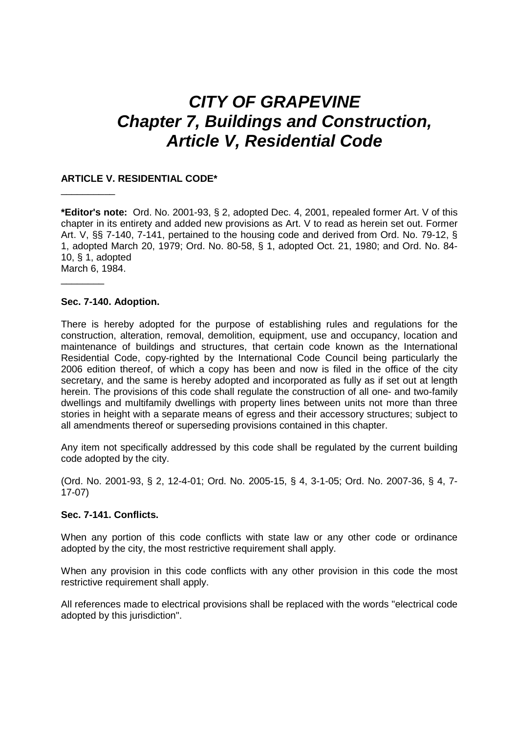# **CITY OF GRAPEVINE Chapter 7, Buildings and Construction, Article V, Residential Code**

## **ARTICLE V. RESIDENTIAL CODE\***

**\*Editor's note:** Ord. No. 2001-93, § 2, adopted Dec. 4, 2001, repealed former Art. V of this chapter in its entirety and added new provisions as Art. V to read as herein set out. Former Art. V, §§ 7-140, 7-141, pertained to the housing code and derived from Ord. No. 79-12, § 1, adopted March 20, 1979; Ord. No. 80-58, § 1, adopted Oct. 21, 1980; and Ord. No. 84- 10, § 1, adopted March 6, 1984.

### **Sec. 7-140. Adoption.**

\_\_\_\_\_\_\_\_\_\_

\_\_\_\_\_\_\_\_

There is hereby adopted for the purpose of establishing rules and regulations for the construction, alteration, removal, demolition, equipment, use and occupancy, location and maintenance of buildings and structures, that certain code known as the International Residential Code, copy-righted by the International Code Council being particularly the 2006 edition thereof, of which a copy has been and now is filed in the office of the city secretary, and the same is hereby adopted and incorporated as fully as if set out at length herein. The provisions of this code shall regulate the construction of all one- and two-family dwellings and multifamily dwellings with property lines between units not more than three stories in height with a separate means of egress and their accessory structures; subject to all amendments thereof or superseding provisions contained in this chapter.

Any item not specifically addressed by this code shall be regulated by the current building code adopted by the city.

(Ord. No. 2001-93, § 2, 12-4-01; Ord. No. 2005-15, § 4, 3-1-05; Ord. No. 2007-36, § 4, 7- 17-07)

## **Sec. 7-141. Conflicts.**

When any portion of this code conflicts with state law or any other code or ordinance adopted by the city, the most restrictive requirement shall apply.

When any provision in this code conflicts with any other provision in this code the most restrictive requirement shall apply.

All references made to electrical provisions shall be replaced with the words "electrical code adopted by this jurisdiction".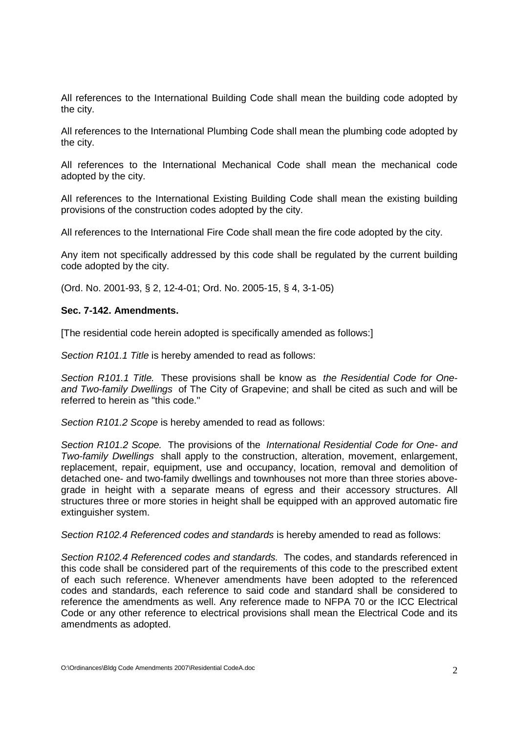All references to the International Building Code shall mean the building code adopted by the city.

All references to the International Plumbing Code shall mean the plumbing code adopted by the city.

All references to the International Mechanical Code shall mean the mechanical code adopted by the city.

All references to the International Existing Building Code shall mean the existing building provisions of the construction codes adopted by the city.

All references to the International Fire Code shall mean the fire code adopted by the city.

Any item not specifically addressed by this code shall be regulated by the current building code adopted by the city.

(Ord. No. 2001-93, § 2, 12-4-01; Ord. No. 2005-15, § 4, 3-1-05)

## **Sec. 7-142. Amendments.**

[The residential code herein adopted is specifically amended as follows:]

Section R101.1 Title is hereby amended to read as follows:

Section R101.1 Title. These provisions shall be know as the Residential Code for Oneand Two-family Dwellings of The City of Grapevine; and shall be cited as such and will be referred to herein as "this code."

Section R101.2 Scope is hereby amended to read as follows:

Section R101.2 Scope. The provisions of the International Residential Code for One- and Two-family Dwellings shall apply to the construction, alteration, movement, enlargement, replacement, repair, equipment, use and occupancy, location, removal and demolition of detached one- and two-family dwellings and townhouses not more than three stories abovegrade in height with a separate means of egress and their accessory structures. All structures three or more stories in height shall be equipped with an approved automatic fire extinguisher system.

Section R102.4 Referenced codes and standards is hereby amended to read as follows:

Section R102.4 Referenced codes and standards. The codes, and standards referenced in this code shall be considered part of the requirements of this code to the prescribed extent of each such reference. Whenever amendments have been adopted to the referenced codes and standards, each reference to said code and standard shall be considered to reference the amendments as well. Any reference made to NFPA 70 or the ICC Electrical Code or any other reference to electrical provisions shall mean the Electrical Code and its amendments as adopted.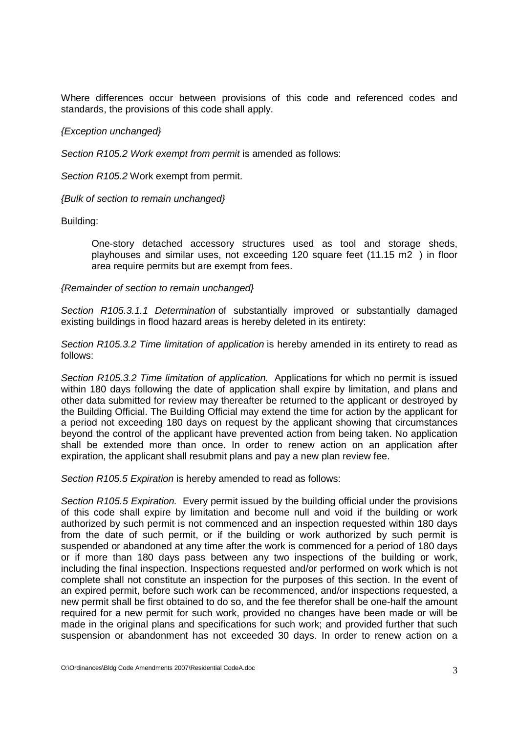Where differences occur between provisions of this code and referenced codes and standards, the provisions of this code shall apply.

## {Exception unchanged}

Section R105.2 Work exempt from permit is amended as follows:

Section R105.2 Work exempt from permit.

{Bulk of section to remain unchanged}

Building:

One-story detached accessory structures used as tool and storage sheds, playhouses and similar uses, not exceeding 120 square feet (11.15 m2 ) in floor area require permits but are exempt from fees.

## {Remainder of section to remain unchanged}

Section R105.3.1.1 Determination of substantially improved or substantially damaged existing buildings in flood hazard areas is hereby deleted in its entirety:

Section R105.3.2 Time limitation of application is hereby amended in its entirety to read as follows:

Section R105.3.2 Time limitation of application. Applications for which no permit is issued within 180 days following the date of application shall expire by limitation, and plans and other data submitted for review may thereafter be returned to the applicant or destroyed by the Building Official. The Building Official may extend the time for action by the applicant for a period not exceeding 180 days on request by the applicant showing that circumstances beyond the control of the applicant have prevented action from being taken. No application shall be extended more than once. In order to renew action on an application after expiration, the applicant shall resubmit plans and pay a new plan review fee.

Section R105.5 Expiration is hereby amended to read as follows:

Section R105.5 Expiration. Every permit issued by the building official under the provisions of this code shall expire by limitation and become null and void if the building or work authorized by such permit is not commenced and an inspection requested within 180 days from the date of such permit, or if the building or work authorized by such permit is suspended or abandoned at any time after the work is commenced for a period of 180 days or if more than 180 days pass between any two inspections of the building or work, including the final inspection. Inspections requested and/or performed on work which is not complete shall not constitute an inspection for the purposes of this section. In the event of an expired permit, before such work can be recommenced, and/or inspections requested, a new permit shall be first obtained to do so, and the fee therefor shall be one-half the amount required for a new permit for such work, provided no changes have been made or will be made in the original plans and specifications for such work; and provided further that such suspension or abandonment has not exceeded 30 days. In order to renew action on a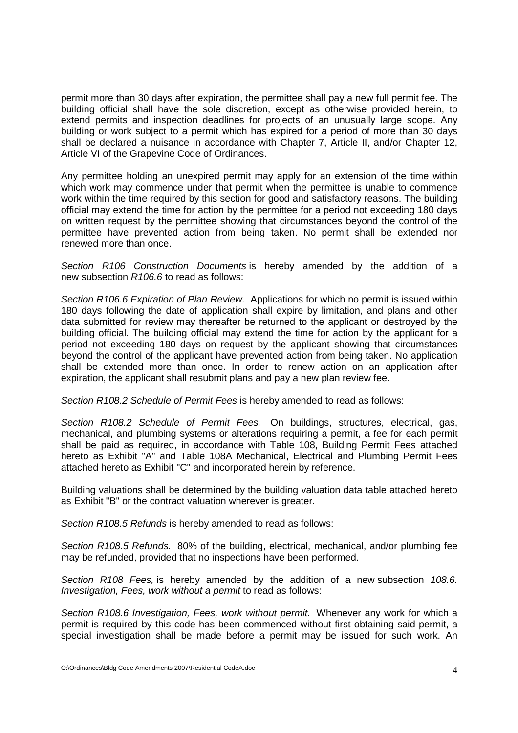permit more than 30 days after expiration, the permittee shall pay a new full permit fee. The building official shall have the sole discretion, except as otherwise provided herein, to extend permits and inspection deadlines for projects of an unusually large scope. Any building or work subject to a permit which has expired for a period of more than 30 days shall be declared a nuisance in accordance with Chapter 7, Article II, and/or Chapter 12, Article VI of the Grapevine Code of Ordinances.

Any permittee holding an unexpired permit may apply for an extension of the time within which work may commence under that permit when the permittee is unable to commence work within the time required by this section for good and satisfactory reasons. The building official may extend the time for action by the permittee for a period not exceeding 180 days on written request by the permittee showing that circumstances beyond the control of the permittee have prevented action from being taken. No permit shall be extended nor renewed more than once.

Section R106 Construction Documents is hereby amended by the addition of a new subsection R106.6 to read as follows:

Section R106.6 Expiration of Plan Review. Applications for which no permit is issued within 180 days following the date of application shall expire by limitation, and plans and other data submitted for review may thereafter be returned to the applicant or destroyed by the building official. The building official may extend the time for action by the applicant for a period not exceeding 180 days on request by the applicant showing that circumstances beyond the control of the applicant have prevented action from being taken. No application shall be extended more than once. In order to renew action on an application after expiration, the applicant shall resubmit plans and pay a new plan review fee.

Section R108.2 Schedule of Permit Fees is hereby amended to read as follows:

Section R108.2 Schedule of Permit Fees. On buildings, structures, electrical, gas, mechanical, and plumbing systems or alterations requiring a permit, a fee for each permit shall be paid as required, in accordance with Table 108, Building Permit Fees attached hereto as Exhibit "A" and Table 108A Mechanical, Electrical and Plumbing Permit Fees attached hereto as Exhibit "C" and incorporated herein by reference.

Building valuations shall be determined by the building valuation data table attached hereto as Exhibit "B" or the contract valuation wherever is greater.

Section R108.5 Refunds is hereby amended to read as follows:

Section R108.5 Refunds. 80% of the building, electrical, mechanical, and/or plumbing fee may be refunded, provided that no inspections have been performed.

Section R108 Fees, is hereby amended by the addition of a new subsection 108.6. Investigation, Fees, work without a permit to read as follows:

Section R108.6 Investigation, Fees, work without permit. Whenever any work for which a permit is required by this code has been commenced without first obtaining said permit, a special investigation shall be made before a permit may be issued for such work. An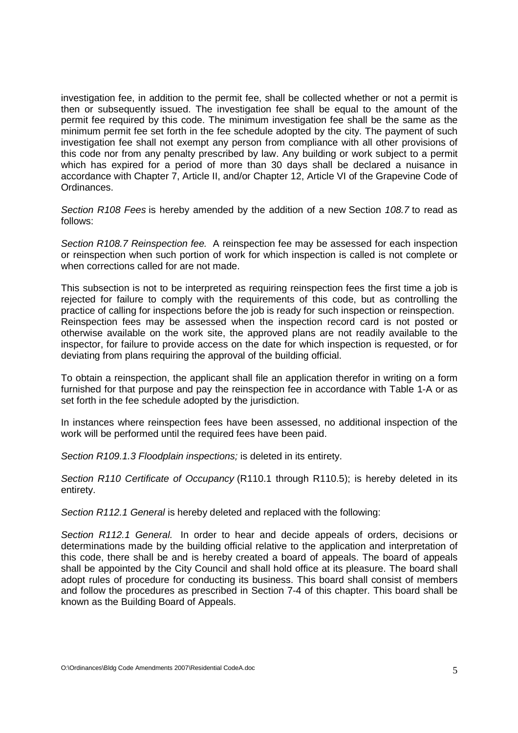investigation fee, in addition to the permit fee, shall be collected whether or not a permit is then or subsequently issued. The investigation fee shall be equal to the amount of the permit fee required by this code. The minimum investigation fee shall be the same as the minimum permit fee set forth in the fee schedule adopted by the city. The payment of such investigation fee shall not exempt any person from compliance with all other provisions of this code nor from any penalty prescribed by law. Any building or work subject to a permit which has expired for a period of more than 30 days shall be declared a nuisance in accordance with Chapter 7, Article II, and/or Chapter 12, Article VI of the Grapevine Code of **Ordinances** 

Section R108 Fees is hereby amended by the addition of a new Section 108.7 to read as follows:

Section R108.7 Reinspection fee. A reinspection fee may be assessed for each inspection or reinspection when such portion of work for which inspection is called is not complete or when corrections called for are not made.

This subsection is not to be interpreted as requiring reinspection fees the first time a job is rejected for failure to comply with the requirements of this code, but as controlling the practice of calling for inspections before the job is ready for such inspection or reinspection. Reinspection fees may be assessed when the inspection record card is not posted or otherwise available on the work site, the approved plans are not readily available to the inspector, for failure to provide access on the date for which inspection is requested, or for deviating from plans requiring the approval of the building official.

To obtain a reinspection, the applicant shall file an application therefor in writing on a form furnished for that purpose and pay the reinspection fee in accordance with Table 1-A or as set forth in the fee schedule adopted by the jurisdiction.

In instances where reinspection fees have been assessed, no additional inspection of the work will be performed until the required fees have been paid.

Section R109.1.3 Floodplain inspections; is deleted in its entirety.

Section R110 Certificate of Occupancy (R110.1 through R110.5); is hereby deleted in its entirety.

Section R112.1 General is hereby deleted and replaced with the following:

Section R112.1 General. In order to hear and decide appeals of orders, decisions or determinations made by the building official relative to the application and interpretation of this code, there shall be and is hereby created a board of appeals. The board of appeals shall be appointed by the City Council and shall hold office at its pleasure. The board shall adopt rules of procedure for conducting its business. This board shall consist of members and follow the procedures as prescribed in Section 7-4 of this chapter. This board shall be known as the Building Board of Appeals.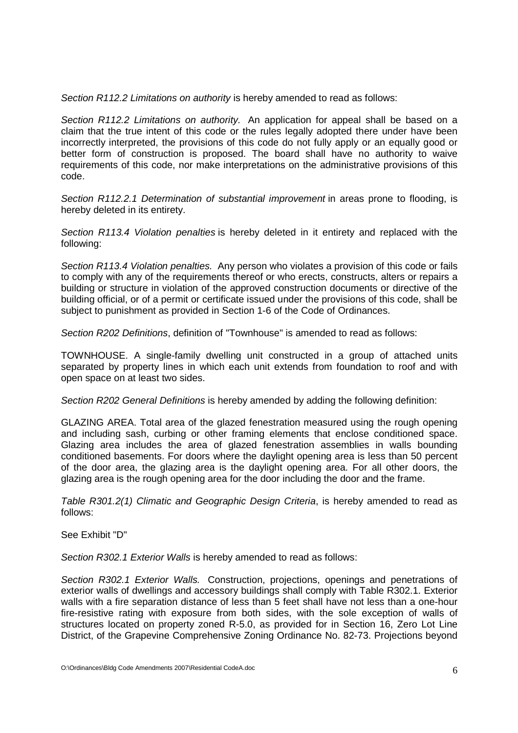Section R112.2 Limitations on authority is hereby amended to read as follows:

Section R112.2 Limitations on authority. An application for appeal shall be based on a claim that the true intent of this code or the rules legally adopted there under have been incorrectly interpreted, the provisions of this code do not fully apply or an equally good or better form of construction is proposed. The board shall have no authority to waive requirements of this code, nor make interpretations on the administrative provisions of this code.

Section R112.2.1 Determination of substantial improvement in areas prone to flooding, is hereby deleted in its entirety.

Section R113.4 Violation penalties is hereby deleted in it entirety and replaced with the following:

Section R113.4 Violation penalties. Any person who violates a provision of this code or fails to comply with any of the requirements thereof or who erects, constructs, alters or repairs a building or structure in violation of the approved construction documents or directive of the building official, or of a permit or certificate issued under the provisions of this code, shall be subject to punishment as provided in Section 1-6 of the Code of Ordinances.

Section R202 Definitions, definition of "Townhouse" is amended to read as follows:

TOWNHOUSE. A single-family dwelling unit constructed in a group of attached units separated by property lines in which each unit extends from foundation to roof and with open space on at least two sides.

Section R202 General Definitions is hereby amended by adding the following definition:

GLAZING AREA. Total area of the glazed fenestration measured using the rough opening and including sash, curbing or other framing elements that enclose conditioned space. Glazing area includes the area of glazed fenestration assemblies in walls bounding conditioned basements. For doors where the daylight opening area is less than 50 percent of the door area, the glazing area is the daylight opening area. For all other doors, the glazing area is the rough opening area for the door including the door and the frame.

Table R301.2(1) Climatic and Geographic Design Criteria, is hereby amended to read as follows:

See Exhibit "D"

Section R302.1 Exterior Walls is hereby amended to read as follows:

Section R302.1 Exterior Walls. Construction, projections, openings and penetrations of exterior walls of dwellings and accessory buildings shall comply with Table R302.1. Exterior walls with a fire separation distance of less than 5 feet shall have not less than a one-hour fire-resistive rating with exposure from both sides, with the sole exception of walls of structures located on property zoned R-5.0, as provided for in Section 16, Zero Lot Line District, of the Grapevine Comprehensive Zoning Ordinance No. 82-73. Projections beyond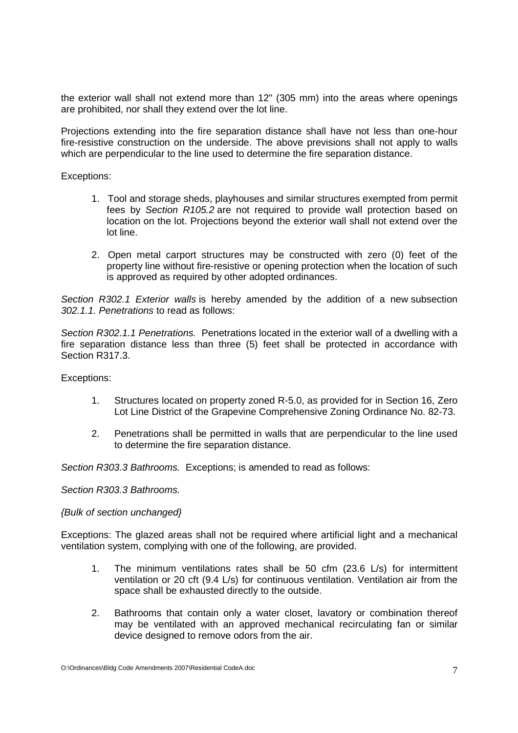the exterior wall shall not extend more than 12" (305 mm) into the areas where openings are prohibited, nor shall they extend over the lot line.

Projections extending into the fire separation distance shall have not less than one-hour fire-resistive construction on the underside. The above previsions shall not apply to walls which are perpendicular to the line used to determine the fire separation distance.

Exceptions:

- 1. Tool and storage sheds, playhouses and similar structures exempted from permit fees by Section R105.2 are not required to provide wall protection based on location on the lot. Projections beyond the exterior wall shall not extend over the lot line.
- 2. Open metal carport structures may be constructed with zero (0) feet of the property line without fire-resistive or opening protection when the location of such is approved as required by other adopted ordinances.

Section R302.1 Exterior walls is hereby amended by the addition of a new subsection 302.1.1. Penetrations to read as follows:

Section R302.1.1 Penetrations. Penetrations located in the exterior wall of a dwelling with a fire separation distance less than three (5) feet shall be protected in accordance with Section R317.3.

Exceptions:

- 1. Structures located on property zoned R-5.0, as provided for in Section 16, Zero Lot Line District of the Grapevine Comprehensive Zoning Ordinance No. 82-73.
- 2. Penetrations shall be permitted in walls that are perpendicular to the line used to determine the fire separation distance.

Section R303.3 Bathrooms. Exceptions; is amended to read as follows:

Section R303.3 Bathrooms.

### {Bulk of section unchanged}

Exceptions: The glazed areas shall not be required where artificial light and a mechanical ventilation system, complying with one of the following, are provided.

- 1. The minimum ventilations rates shall be 50 cfm (23.6 L/s) for intermittent ventilation or 20 cft  $(9.4 \text{ L/s})$  for continuous ventilation. Ventilation air from the space shall be exhausted directly to the outside.
- 2. Bathrooms that contain only a water closet, lavatory or combination thereof may be ventilated with an approved mechanical recirculating fan or similar device designed to remove odors from the air.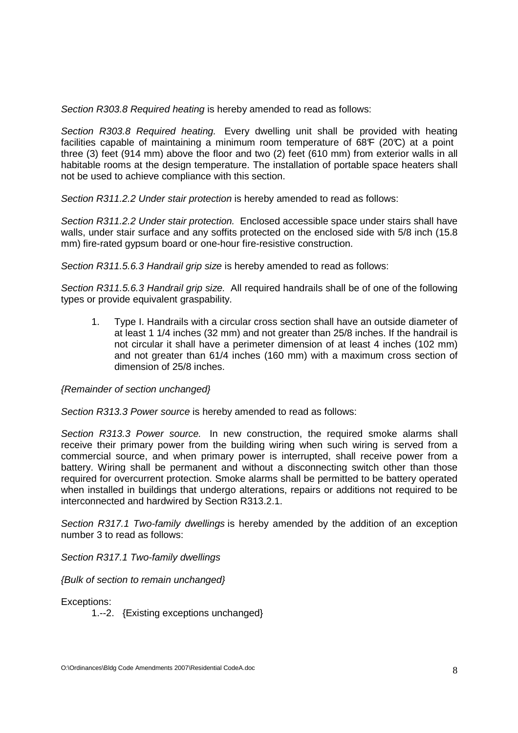Section R303.8 Required heating is hereby amended to read as follows:

Section R303.8 Required heating. Every dwelling unit shall be provided with heating facilities capable of maintaining a minimum room temperature of  $68F$  (20°C) at a point three (3) feet (914 mm) above the floor and two (2) feet (610 mm) from exterior walls in all habitable rooms at the design temperature. The installation of portable space heaters shall not be used to achieve compliance with this section.

Section R311.2.2 Under stair protection is hereby amended to read as follows:

Section R311.2.2 Under stair protection. Enclosed accessible space under stairs shall have walls, under stair surface and any soffits protected on the enclosed side with 5/8 inch (15.8) mm) fire-rated gypsum board or one-hour fire-resistive construction.

Section R311.5.6.3 Handrail grip size is hereby amended to read as follows:

Section R311.5.6.3 Handrail grip size. All required handrails shall be of one of the following types or provide equivalent graspability.

1. Type I. Handrails with a circular cross section shall have an outside diameter of at least 1 1/4 inches (32 mm) and not greater than 25/8 inches. If the handrail is not circular it shall have a perimeter dimension of at least 4 inches (102 mm) and not greater than 61/4 inches (160 mm) with a maximum cross section of dimension of 25/8 inches.

## {Remainder of section unchanged}

Section R313.3 Power source is hereby amended to read as follows:

Section R313.3 Power source. In new construction, the required smoke alarms shall receive their primary power from the building wiring when such wiring is served from a commercial source, and when primary power is interrupted, shall receive power from a battery. Wiring shall be permanent and without a disconnecting switch other than those required for overcurrent protection. Smoke alarms shall be permitted to be battery operated when installed in buildings that undergo alterations, repairs or additions not required to be interconnected and hardwired by Section R313.2.1.

Section R317.1 Two-family dwellings is hereby amended by the addition of an exception number 3 to read as follows:

Section R317.1 Two-family dwellings

{Bulk of section to remain unchanged}

Exceptions:

1.--2. {Existing exceptions unchanged}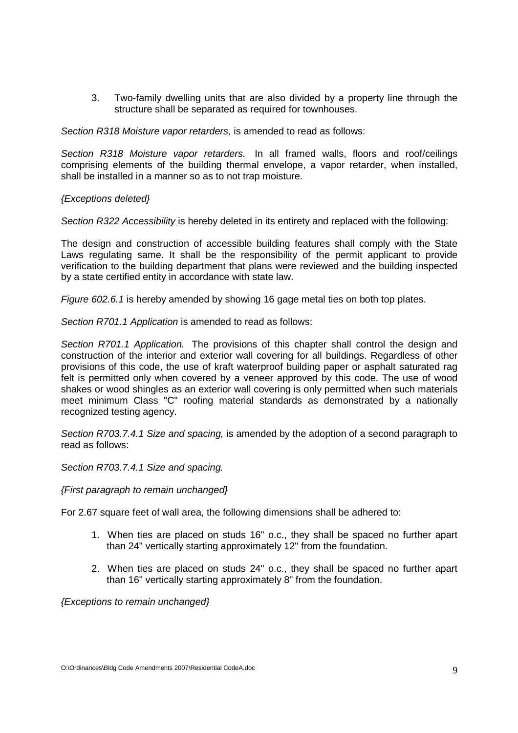3. Two-family dwelling units that are also divided by a property line through the structure shall be separated as required for townhouses.

Section R318 Moisture vapor retarders, is amended to read as follows:

Section R318 Moisture vapor retarders. In all framed walls, floors and roof/ceilings comprising elements of the building thermal envelope, a vapor retarder, when installed, shall be installed in a manner so as to not trap moisture.

### {Exceptions deleted}

Section R322 Accessibility is hereby deleted in its entirety and replaced with the following:

The design and construction of accessible building features shall comply with the State Laws regulating same. It shall be the responsibility of the permit applicant to provide verification to the building department that plans were reviewed and the building inspected by a state certified entity in accordance with state law.

Figure 602.6.1 is hereby amended by showing 16 gage metal ties on both top plates.

Section R701.1 Application is amended to read as follows:

Section R701.1 Application. The provisions of this chapter shall control the design and construction of the interior and exterior wall covering for all buildings. Regardless of other provisions of this code, the use of kraft waterproof building paper or asphalt saturated rag felt is permitted only when covered by a veneer approved by this code. The use of wood shakes or wood shingles as an exterior wall covering is only permitted when such materials meet minimum Class "C" roofing material standards as demonstrated by a nationally recognized testing agency.

Section R703.7.4.1 Size and spacing, is amended by the adoption of a second paragraph to read as follows:

Section R703.7.4.1 Size and spacing.

{First paragraph to remain unchanged}

For 2.67 square feet of wall area, the following dimensions shall be adhered to:

- 1. When ties are placed on studs 16" o.c., they shall be spaced no further apart than 24" vertically starting approximately 12" from the foundation.
- 2. When ties are placed on studs 24" o.c., they shall be spaced no further apart than 16" vertically starting approximately 8" from the foundation.

{Exceptions to remain unchanged}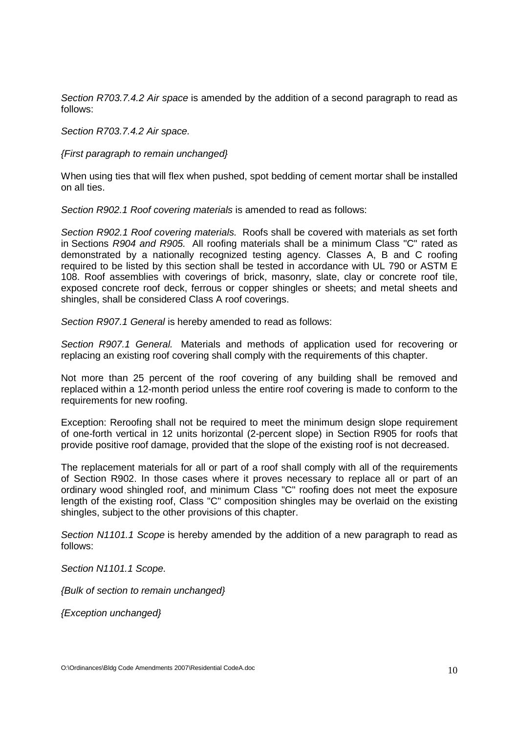Section R703.7.4.2 Air space is amended by the addition of a second paragraph to read as follows:

Section R703.7.4.2 Air space.

{First paragraph to remain unchanged}

When using ties that will flex when pushed, spot bedding of cement mortar shall be installed on all ties.

Section R902.1 Roof covering materials is amended to read as follows:

Section R902.1 Roof covering materials. Roofs shall be covered with materials as set forth in Sections R904 and R905. All roofing materials shall be a minimum Class "C" rated as demonstrated by a nationally recognized testing agency. Classes A, B and C roofing required to be listed by this section shall be tested in accordance with UL 790 or ASTM E 108. Roof assemblies with coverings of brick, masonry, slate, clay or concrete roof tile, exposed concrete roof deck, ferrous or copper shingles or sheets; and metal sheets and shingles, shall be considered Class A roof coverings.

Section R907.1 General is hereby amended to read as follows:

Section R907.1 General. Materials and methods of application used for recovering or replacing an existing roof covering shall comply with the requirements of this chapter.

Not more than 25 percent of the roof covering of any building shall be removed and replaced within a 12-month period unless the entire roof covering is made to conform to the requirements for new roofing.

Exception: Reroofing shall not be required to meet the minimum design slope requirement of one-forth vertical in 12 units horizontal (2-percent slope) in Section R905 for roofs that provide positive roof damage, provided that the slope of the existing roof is not decreased.

The replacement materials for all or part of a roof shall comply with all of the requirements of Section R902. In those cases where it proves necessary to replace all or part of an ordinary wood shingled roof, and minimum Class "C" roofing does not meet the exposure length of the existing roof, Class "C" composition shingles may be overlaid on the existing shingles, subject to the other provisions of this chapter.

Section N1101.1 Scope is hereby amended by the addition of a new paragraph to read as follows:

Section N1101.1 Scope.

{Bulk of section to remain unchanged}

{Exception unchanged}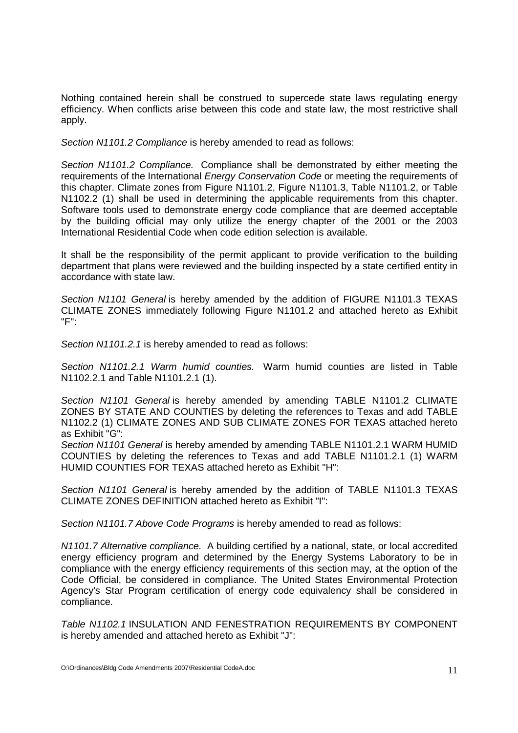Nothing contained herein shall be construed to supercede state laws regulating energy efficiency. When conflicts arise between this code and state law, the most restrictive shall apply.

Section N1101.2 Compliance is hereby amended to read as follows:

Section N1101.2 Compliance. Compliance shall be demonstrated by either meeting the requirements of the International Energy Conservation Code or meeting the requirements of this chapter. Climate zones from Figure N1101.2, Figure N1101.3, Table N1101.2, or Table N1102.2 (1) shall be used in determining the applicable requirements from this chapter. Software tools used to demonstrate energy code compliance that are deemed acceptable by the building official may only utilize the energy chapter of the 2001 or the 2003 International Residential Code when code edition selection is available.

It shall be the responsibility of the permit applicant to provide verification to the building department that plans were reviewed and the building inspected by a state certified entity in accordance with state law.

Section N1101 General is hereby amended by the addition of FIGURE N1101.3 TEXAS CLIMATE ZONES immediately following Figure N1101.2 and attached hereto as Exhibit "F":

Section N1101.2.1 is hereby amended to read as follows:

Section N1101.2.1 Warm humid counties. Warm humid counties are listed in Table N1102.2.1 and Table N1101.2.1 (1).

Section N1101 General is hereby amended by amending TABLE N1101.2 CLIMATE ZONES BY STATE AND COUNTIES by deleting the references to Texas and add TABLE N1102.2 (1) CLIMATE ZONES AND SUB CLIMATE ZONES FOR TEXAS attached hereto as Exhibit "G":

Section N1101 General is hereby amended by amending TABLE N1101.2.1 WARM HUMID COUNTIES by deleting the references to Texas and add TABLE N1101.2.1 (1) WARM HUMID COUNTIES FOR TEXAS attached hereto as Exhibit "H":

Section N1101 General is hereby amended by the addition of TABLE N1101.3 TEXAS CLIMATE ZONES DEFINITION attached hereto as Exhibit "I":

Section N1101.7 Above Code Programs is hereby amended to read as follows:

N1101.7 Alternative compliance. A building certified by a national, state, or local accredited energy efficiency program and determined by the Energy Systems Laboratory to be in compliance with the energy efficiency requirements of this section may, at the option of the Code Official, be considered in compliance. The United States Environmental Protection Agency's Star Program certification of energy code equivalency shall be considered in compliance.

Table N1102.1 INSULATION AND FENESTRATION REQUIREMENTS BY COMPONENT is hereby amended and attached hereto as Exhibit "J":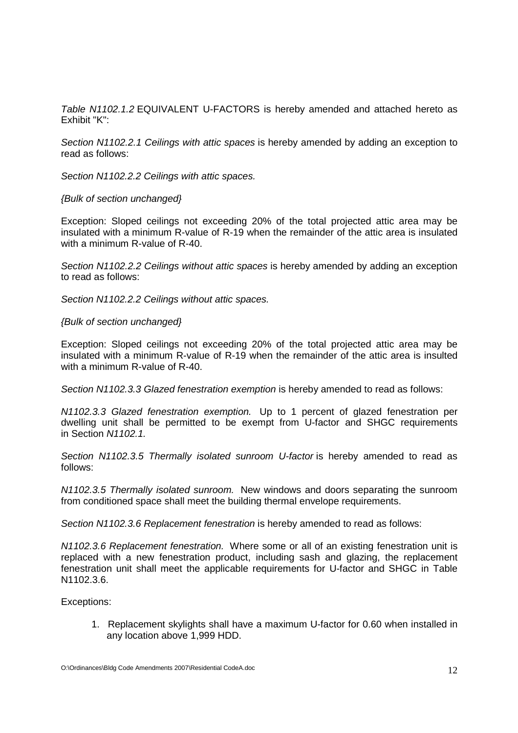Table N1102.1.2 EQUIVALENT U-FACTORS is hereby amended and attached hereto as Exhibit "K":

Section N1102.2.1 Ceilings with attic spaces is hereby amended by adding an exception to read as follows:

Section N1102.2.2 Ceilings with attic spaces.

### {Bulk of section unchanged}

Exception: Sloped ceilings not exceeding 20% of the total projected attic area may be insulated with a minimum R-value of R-19 when the remainder of the attic area is insulated with a minimum R-value of R-40.

Section N1102.2.2 Ceilings without attic spaces is hereby amended by adding an exception to read as follows:

Section N1102.2.2 Ceilings without attic spaces.

### {Bulk of section unchanged}

Exception: Sloped ceilings not exceeding 20% of the total projected attic area may be insulated with a minimum R-value of R-19 when the remainder of the attic area is insulted with a minimum R-value of R-40.

Section N1102.3.3 Glazed fenestration exemption is hereby amended to read as follows:

N1102.3.3 Glazed fenestration exemption. Up to 1 percent of glazed fenestration per dwelling unit shall be permitted to be exempt from U-factor and SHGC requirements in Section N1102.1.

Section N1102.3.5 Thermally isolated sunroom U-factor is hereby amended to read as follows:

N1102.3.5 Thermally isolated sunroom. New windows and doors separating the sunroom from conditioned space shall meet the building thermal envelope requirements.

Section N1102.3.6 Replacement fenestration is hereby amended to read as follows:

N1102.3.6 Replacement fenestration. Where some or all of an existing fenestration unit is replaced with a new fenestration product, including sash and glazing, the replacement fenestration unit shall meet the applicable requirements for U-factor and SHGC in Table N1102.3.6.

Exceptions:

1. Replacement skylights shall have a maximum U-factor for 0.60 when installed in any location above 1,999 HDD.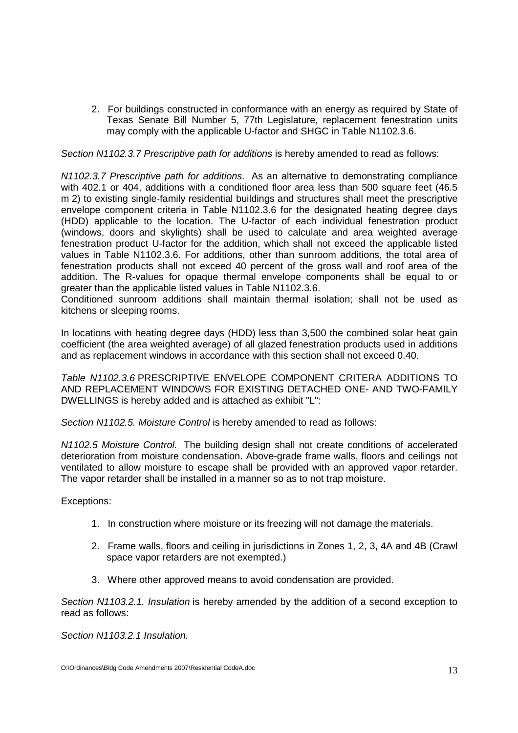2. For buildings constructed in conformance with an energy as required by State of Texas Senate Bill Number 5, 77th Legislature, replacement fenestration units may comply with the applicable U-factor and SHGC in Table N1102.3.6.

Section N1102.3.7 Prescriptive path for additions is hereby amended to read as follows:

N1102.3.7 Prescriptive path for additions. As an alternative to demonstrating compliance with 402.1 or 404, additions with a conditioned floor area less than 500 square feet (46.5) m 2) to existing single-family residential buildings and structures shall meet the prescriptive envelope component criteria in Table N1102.3.6 for the designated heating degree days (HDD) applicable to the location. The U-factor of each individual fenestration product (windows, doors and skylights) shall be used to calculate and area weighted average fenestration product U-factor for the addition, which shall not exceed the applicable listed values in Table N1102.3.6. For additions, other than sunroom additions, the total area of fenestration products shall not exceed 40 percent of the gross wall and roof area of the addition. The R-values for opaque thermal envelope components shall be equal to or greater than the applicable listed values in Table N1102.3.6.

Conditioned sunroom additions shall maintain thermal isolation; shall not be used as kitchens or sleeping rooms.

In locations with heating degree days (HDD) less than 3,500 the combined solar heat gain coefficient (the area weighted average) of all glazed fenestration products used in additions and as replacement windows in accordance with this section shall not exceed 0.40.

Table N1102.3.6 PRESCRIPTIVE ENVELOPE COMPONENT CRITERA ADDITIONS TO AND REPLACEMENT WINDOWS FOR EXISTING DETACHED ONE- AND TWO-FAMILY DWELLINGS is hereby added and is attached as exhibit "L":

Section N1102.5. Moisture Control is hereby amended to read as follows:

N1102.5 Moisture Control. The building design shall not create conditions of accelerated deterioration from moisture condensation. Above-grade frame walls, floors and ceilings not ventilated to allow moisture to escape shall be provided with an approved vapor retarder. The vapor retarder shall be installed in a manner so as to not trap moisture.

## Exceptions:

- 1. In construction where moisture or its freezing will not damage the materials.
- 2. Frame walls, floors and ceiling in jurisdictions in Zones 1, 2, 3, 4A and 4B (Crawl space vapor retarders are not exempted.)
- 3. Where other approved means to avoid condensation are provided.

Section N1103.2.1. Insulation is hereby amended by the addition of a second exception to read as follows:

Section N1103.2.1 Insulation.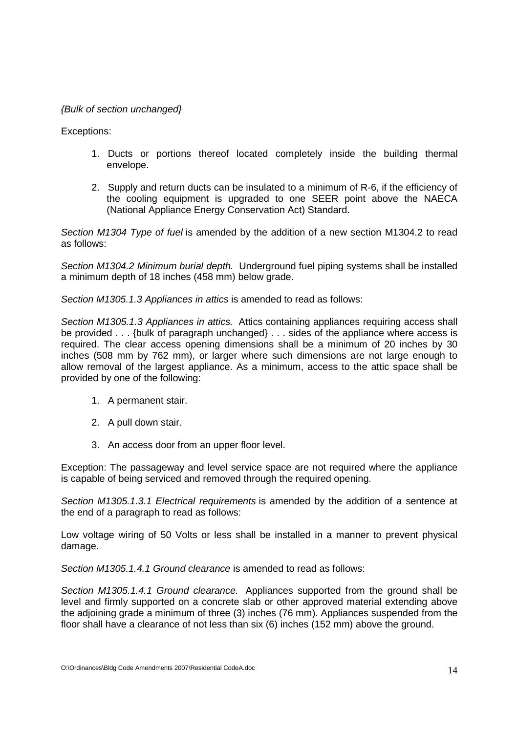## {Bulk of section unchanged}

Exceptions:

- 1. Ducts or portions thereof located completely inside the building thermal envelope.
- 2. Supply and return ducts can be insulated to a minimum of R-6, if the efficiency of the cooling equipment is upgraded to one SEER point above the NAECA (National Appliance Energy Conservation Act) Standard.

Section M1304 Type of fuel is amended by the addition of a new section M1304.2 to read as follows:

Section M1304.2 Minimum burial depth. Underground fuel piping systems shall be installed a minimum depth of 18 inches (458 mm) below grade.

Section M1305.1.3 Appliances in attics is amended to read as follows:

Section M1305.1.3 Appliances in attics. Attics containing appliances requiring access shall be provided . . . {bulk of paragraph unchanged} . . . sides of the appliance where access is required. The clear access opening dimensions shall be a minimum of 20 inches by 30 inches (508 mm by 762 mm), or larger where such dimensions are not large enough to allow removal of the largest appliance. As a minimum, access to the attic space shall be provided by one of the following:

- 1. A permanent stair.
- 2. A pull down stair.
- 3. An access door from an upper floor level.

Exception: The passageway and level service space are not required where the appliance is capable of being serviced and removed through the required opening.

Section M1305.1.3.1 Electrical requirements is amended by the addition of a sentence at the end of a paragraph to read as follows:

Low voltage wiring of 50 Volts or less shall be installed in a manner to prevent physical damage.

Section M1305.1.4.1 Ground clearance is amended to read as follows:

Section M1305.1.4.1 Ground clearance. Appliances supported from the ground shall be level and firmly supported on a concrete slab or other approved material extending above the adjoining grade a minimum of three (3) inches (76 mm). Appliances suspended from the floor shall have a clearance of not less than six (6) inches (152 mm) above the ground.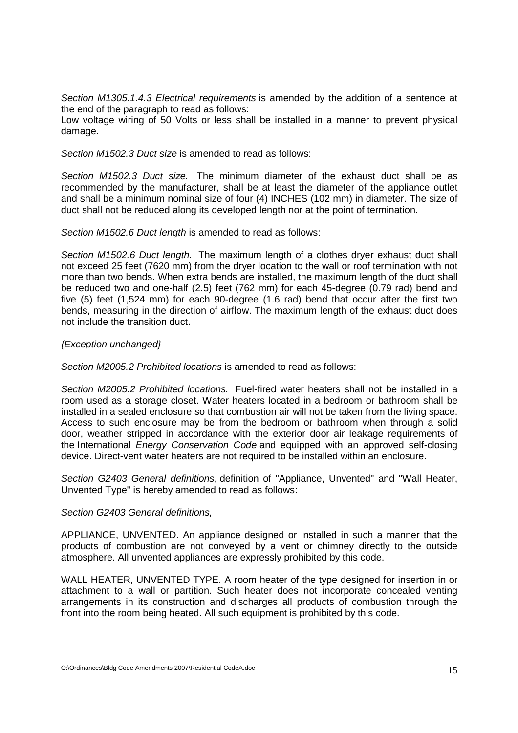Section M1305.1.4.3 Electrical requirements is amended by the addition of a sentence at the end of the paragraph to read as follows:

Low voltage wiring of 50 Volts or less shall be installed in a manner to prevent physical damage.

Section M1502.3 Duct size is amended to read as follows:

Section M1502.3 Duct size. The minimum diameter of the exhaust duct shall be as recommended by the manufacturer, shall be at least the diameter of the appliance outlet and shall be a minimum nominal size of four (4) INCHES (102 mm) in diameter. The size of duct shall not be reduced along its developed length nor at the point of termination.

Section M1502.6 Duct length is amended to read as follows:

Section M1502.6 Duct length. The maximum length of a clothes dryer exhaust duct shall not exceed 25 feet (7620 mm) from the dryer location to the wall or roof termination with not more than two bends. When extra bends are installed, the maximum length of the duct shall be reduced two and one-half (2.5) feet (762 mm) for each 45-degree (0.79 rad) bend and five (5) feet (1,524 mm) for each 90-degree (1.6 rad) bend that occur after the first two bends, measuring in the direction of airflow. The maximum length of the exhaust duct does not include the transition duct.

## {Exception unchanged}

Section M2005.2 Prohibited locations is amended to read as follows:

Section M2005.2 Prohibited locations. Fuel-fired water heaters shall not be installed in a room used as a storage closet. Water heaters located in a bedroom or bathroom shall be installed in a sealed enclosure so that combustion air will not be taken from the living space. Access to such enclosure may be from the bedroom or bathroom when through a solid door, weather stripped in accordance with the exterior door air leakage requirements of the International Energy Conservation Code and equipped with an approved self-closing device. Direct-vent water heaters are not required to be installed within an enclosure.

Section G2403 General definitions, definition of "Appliance, Unvented" and "Wall Heater, Unvented Type" is hereby amended to read as follows:

### Section G2403 General definitions,

APPLIANCE, UNVENTED. An appliance designed or installed in such a manner that the products of combustion are not conveyed by a vent or chimney directly to the outside atmosphere. All unvented appliances are expressly prohibited by this code.

WALL HEATER, UNVENTED TYPE. A room heater of the type designed for insertion in or attachment to a wall or partition. Such heater does not incorporate concealed venting arrangements in its construction and discharges all products of combustion through the front into the room being heated. All such equipment is prohibited by this code.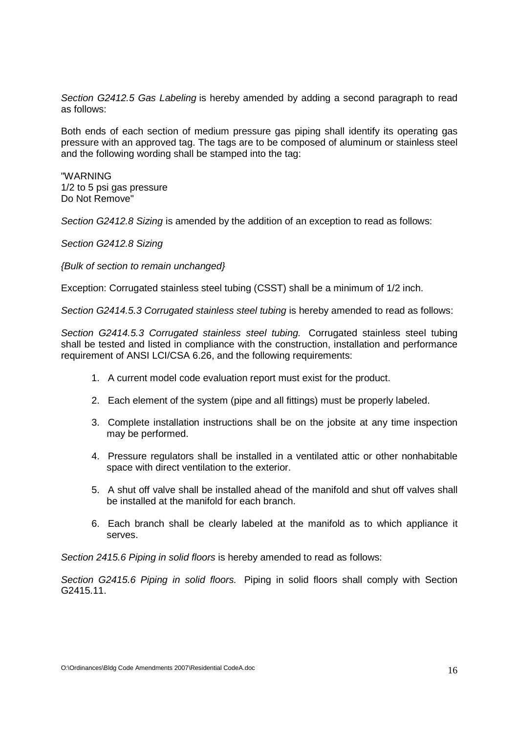Section G2412.5 Gas Labeling is hereby amended by adding a second paragraph to read as follows:

Both ends of each section of medium pressure gas piping shall identify its operating gas pressure with an approved tag. The tags are to be composed of aluminum or stainless steel and the following wording shall be stamped into the tag:

"WARNING 1/2 to 5 psi gas pressure Do Not Remove"

Section G2412.8 Sizing is amended by the addition of an exception to read as follows:

Section G2412.8 Sizing

{Bulk of section to remain unchanged}

Exception: Corrugated stainless steel tubing (CSST) shall be a minimum of 1/2 inch.

Section G2414.5.3 Corrugated stainless steel tubing is hereby amended to read as follows:

Section G2414.5.3 Corrugated stainless steel tubing. Corrugated stainless steel tubing shall be tested and listed in compliance with the construction, installation and performance requirement of ANSI LCI/CSA 6.26, and the following requirements:

- 1. A current model code evaluation report must exist for the product.
- 2. Each element of the system (pipe and all fittings) must be properly labeled.
- 3. Complete installation instructions shall be on the jobsite at any time inspection may be performed.
- 4. Pressure regulators shall be installed in a ventilated attic or other nonhabitable space with direct ventilation to the exterior.
- 5. A shut off valve shall be installed ahead of the manifold and shut off valves shall be installed at the manifold for each branch.
- 6. Each branch shall be clearly labeled at the manifold as to which appliance it serves.

Section 2415.6 Piping in solid floors is hereby amended to read as follows:

Section G2415.6 Piping in solid floors. Piping in solid floors shall comply with Section G2415.11.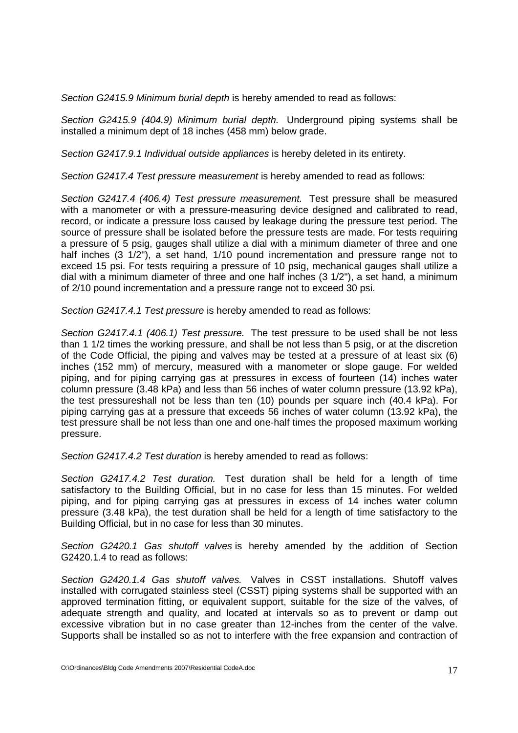Section G2415.9 Minimum burial depth is hereby amended to read as follows:

Section G2415.9 (404.9) Minimum burial depth. Underground piping systems shall be installed a minimum dept of 18 inches (458 mm) below grade.

Section G2417.9.1 Individual outside appliances is hereby deleted in its entirety.

Section G2417.4 Test pressure measurement is hereby amended to read as follows:

Section G2417.4 (406.4) Test pressure measurement. Test pressure shall be measured with a manometer or with a pressure-measuring device designed and calibrated to read, record, or indicate a pressure loss caused by leakage during the pressure test period. The source of pressure shall be isolated before the pressure tests are made. For tests requiring a pressure of 5 psig, gauges shall utilize a dial with a minimum diameter of three and one half inches (3 1/2"), a set hand, 1/10 pound incrementation and pressure range not to exceed 15 psi. For tests requiring a pressure of 10 psig, mechanical gauges shall utilize a dial with a minimum diameter of three and one half inches (3 1/2"), a set hand, a minimum of 2/10 pound incrementation and a pressure range not to exceed 30 psi.

Section G2417.4.1 Test pressure is hereby amended to read as follows:

Section G2417.4.1 (406.1) Test pressure. The test pressure to be used shall be not less than 1 1/2 times the working pressure, and shall be not less than 5 psig, or at the discretion of the Code Official, the piping and valves may be tested at a pressure of at least six (6) inches (152 mm) of mercury, measured with a manometer or slope gauge. For welded piping, and for piping carrying gas at pressures in excess of fourteen (14) inches water column pressure (3.48 kPa) and less than 56 inches of water column pressure (13.92 kPa), the test pressureshall not be less than ten (10) pounds per square inch (40.4 kPa). For piping carrying gas at a pressure that exceeds 56 inches of water column (13.92 kPa), the test pressure shall be not less than one and one-half times the proposed maximum working pressure.

Section G2417.4.2 Test duration is hereby amended to read as follows:

Section G2417.4.2 Test duration. Test duration shall be held for a length of time satisfactory to the Building Official, but in no case for less than 15 minutes. For welded piping, and for piping carrying gas at pressures in excess of 14 inches water column pressure (3.48 kPa), the test duration shall be held for a length of time satisfactory to the Building Official, but in no case for less than 30 minutes.

Section G2420.1 Gas shutoff valves is hereby amended by the addition of Section G2420.1.4 to read as follows:

Section G2420.1.4 Gas shutoff valves. Valves in CSST installations. Shutoff valves installed with corrugated stainless steel (CSST) piping systems shall be supported with an approved termination fitting, or equivalent support, suitable for the size of the valves, of adequate strength and quality, and located at intervals so as to prevent or damp out excessive vibration but in no case greater than 12-inches from the center of the valve. Supports shall be installed so as not to interfere with the free expansion and contraction of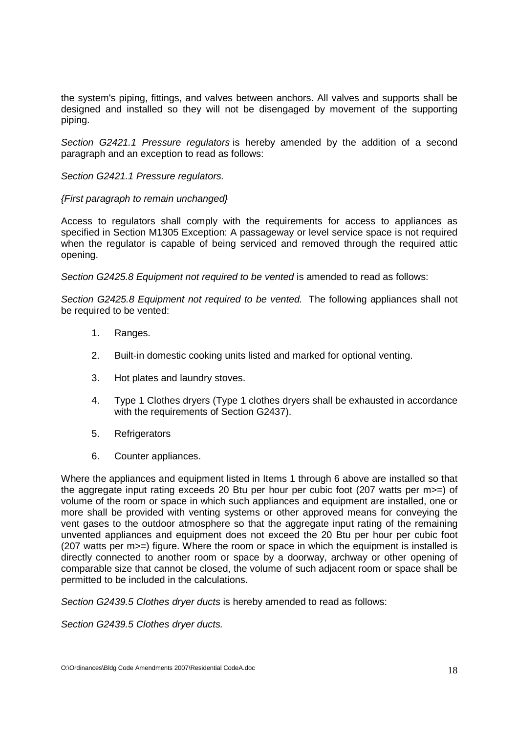the system's piping, fittings, and valves between anchors. All valves and supports shall be designed and installed so they will not be disengaged by movement of the supporting piping.

Section G2421.1 Pressure regulators is hereby amended by the addition of a second paragraph and an exception to read as follows:

## Section G2421.1 Pressure regulators.

## {First paragraph to remain unchanged}

Access to regulators shall comply with the requirements for access to appliances as specified in Section M1305 Exception: A passageway or level service space is not required when the regulator is capable of being serviced and removed through the required attic opening.

Section G2425.8 Equipment not required to be vented is amended to read as follows:

Section G2425.8 Equipment not required to be vented. The following appliances shall not be required to be vented:

- 1. Ranges.
- 2. Built-in domestic cooking units listed and marked for optional venting.
- 3. Hot plates and laundry stoves.
- 4. Type 1 Clothes dryers (Type 1 clothes dryers shall be exhausted in accordance with the requirements of Section G2437).
- 5. Refrigerators
- 6. Counter appliances.

Where the appliances and equipment listed in Items 1 through 6 above are installed so that the aggregate input rating exceeds 20 Btu per hour per cubic foot (207 watts per m>=) of volume of the room or space in which such appliances and equipment are installed, one or more shall be provided with venting systems or other approved means for conveying the vent gases to the outdoor atmosphere so that the aggregate input rating of the remaining unvented appliances and equipment does not exceed the 20 Btu per hour per cubic foot (207 watts per m>=) figure. Where the room or space in which the equipment is installed is directly connected to another room or space by a doorway, archway or other opening of comparable size that cannot be closed, the volume of such adjacent room or space shall be permitted to be included in the calculations.

Section G2439.5 Clothes dryer ducts is hereby amended to read as follows:

Section G2439.5 Clothes dryer ducts.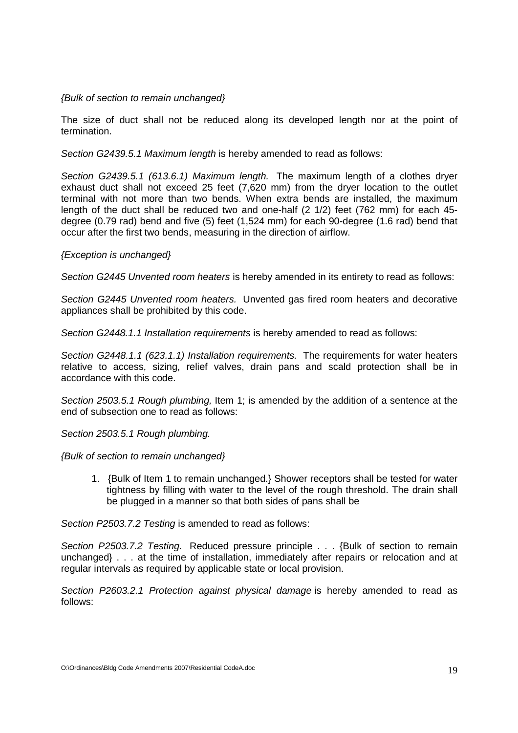## {Bulk of section to remain unchanged}

The size of duct shall not be reduced along its developed length nor at the point of termination.

Section G2439.5.1 Maximum length is hereby amended to read as follows:

Section G2439.5.1 (613.6.1) Maximum length. The maximum length of a clothes dryer exhaust duct shall not exceed 25 feet (7,620 mm) from the dryer location to the outlet terminal with not more than two bends. When extra bends are installed, the maximum length of the duct shall be reduced two and one-half (2 1/2) feet (762 mm) for each 45 degree (0.79 rad) bend and five (5) feet (1,524 mm) for each 90-degree (1.6 rad) bend that occur after the first two bends, measuring in the direction of airflow.

## {Exception is unchanged}

Section G2445 Unvented room heaters is hereby amended in its entirety to read as follows:

Section G2445 Unvented room heaters. Unvented gas fired room heaters and decorative appliances shall be prohibited by this code.

Section G2448.1.1 Installation requirements is hereby amended to read as follows:

Section G2448.1.1 (623.1.1) Installation requirements. The requirements for water heaters relative to access, sizing, relief valves, drain pans and scald protection shall be in accordance with this code.

Section 2503.5.1 Rough plumbing, Item 1; is amended by the addition of a sentence at the end of subsection one to read as follows:

Section 2503.5.1 Rough plumbing.

{Bulk of section to remain unchanged}

1. {Bulk of Item 1 to remain unchanged.} Shower receptors shall be tested for water tightness by filling with water to the level of the rough threshold. The drain shall be plugged in a manner so that both sides of pans shall be

Section P2503.7.2 Testing is amended to read as follows:

Section P2503.7.2 Testing. Reduced pressure principle . . . {Bulk of section to remain unchanged} . . . at the time of installation, immediately after repairs or relocation and at regular intervals as required by applicable state or local provision.

Section P2603.2.1 Protection against physical damage is hereby amended to read as follows: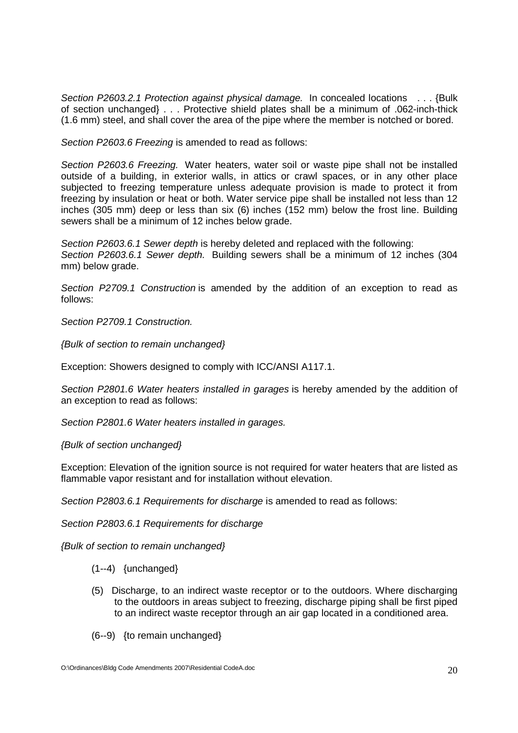Section P2603.2.1 Protection against physical damage. In concealed locations . . . {Bulk of section unchanged} . . . Protective shield plates shall be a minimum of .062-inch-thick (1.6 mm) steel, and shall cover the area of the pipe where the member is notched or bored.

Section P2603.6 Freezing is amended to read as follows:

Section P2603.6 Freezing. Water heaters, water soil or waste pipe shall not be installed outside of a building, in exterior walls, in attics or crawl spaces, or in any other place subjected to freezing temperature unless adequate provision is made to protect it from freezing by insulation or heat or both. Water service pipe shall be installed not less than 12 inches (305 mm) deep or less than six (6) inches (152 mm) below the frost line. Building sewers shall be a minimum of 12 inches below grade.

Section P2603.6.1 Sewer depth is hereby deleted and replaced with the following: Section P2603.6.1 Sewer depth. Building sewers shall be a minimum of 12 inches (304) mm) below grade.

Section P2709.1 Construction is amended by the addition of an exception to read as follows:

Section P2709.1 Construction.

{Bulk of section to remain unchanged}

Exception: Showers designed to comply with ICC/ANSI A117.1.

Section P2801.6 Water heaters installed in garages is hereby amended by the addition of an exception to read as follows:

Section P2801.6 Water heaters installed in garages.

{Bulk of section unchanged}

Exception: Elevation of the ignition source is not required for water heaters that are listed as flammable vapor resistant and for installation without elevation.

Section P2803.6.1 Requirements for discharge is amended to read as follows:

Section P2803.6.1 Requirements for discharge

{Bulk of section to remain unchanged}

- (1--4) {unchanged}
- (5) Discharge, to an indirect waste receptor or to the outdoors. Where discharging to the outdoors in areas subject to freezing, discharge piping shall be first piped to an indirect waste receptor through an air gap located in a conditioned area.
- (6--9) {to remain unchanged}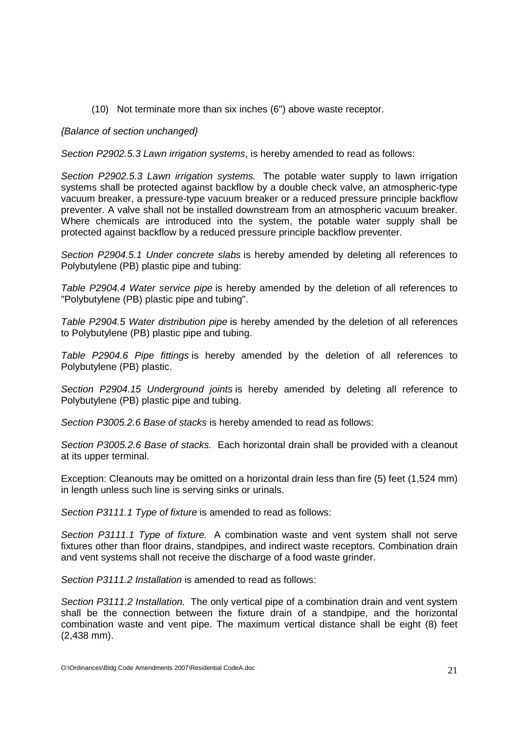(10) Not terminate more than six inches (6") above waste receptor.

## {Balance of section unchanged}

Section P2902.5.3 Lawn irrigation systems, is hereby amended to read as follows:

Section P2902.5.3 Lawn irrigation systems. The potable water supply to lawn irrigation systems shall be protected against backflow by a double check valve, an atmospheric-type vacuum breaker, a pressure-type vacuum breaker or a reduced pressure principle backflow preventer. A valve shall not be installed downstream from an atmospheric vacuum breaker. Where chemicals are introduced into the system, the potable water supply shall be protected against backflow by a reduced pressure principle backflow preventer.

Section P2904.5.1 Under concrete slabs is hereby amended by deleting all references to Polybutylene (PB) plastic pipe and tubing:

Table P2904.4 Water service pipe is hereby amended by the deletion of all references to "Polybutylene (PB) plastic pipe and tubing".

Table P2904.5 Water distribution pipe is hereby amended by the deletion of all references to Polybutylene (PB) plastic pipe and tubing.

Table P2904.6 Pipe fittings is hereby amended by the deletion of all references to Polybutylene (PB) plastic.

Section P2904.15 Underground joints is hereby amended by deleting all reference to Polybutylene (PB) plastic pipe and tubing.

Section P3005.2.6 Base of stacks is hereby amended to read as follows:

Section P3005.2.6 Base of stacks. Each horizontal drain shall be provided with a cleanout at its upper terminal.

Exception: Cleanouts may be omitted on a horizontal drain less than fire (5) feet (1,524 mm) in length unless such line is serving sinks or urinals.

Section P3111.1 Type of fixture is amended to read as follows:

Section P3111.1 Type of fixture. A combination waste and vent system shall not serve fixtures other than floor drains, standpipes, and indirect waste receptors. Combination drain and vent systems shall not receive the discharge of a food waste grinder.

Section P3111.2 Installation is amended to read as follows:

Section P3111.2 Installation. The only vertical pipe of a combination drain and vent system shall be the connection between the fixture drain of a standpipe, and the horizontal combination waste and vent pipe. The maximum vertical distance shall be eight (8) feet (2,438 mm).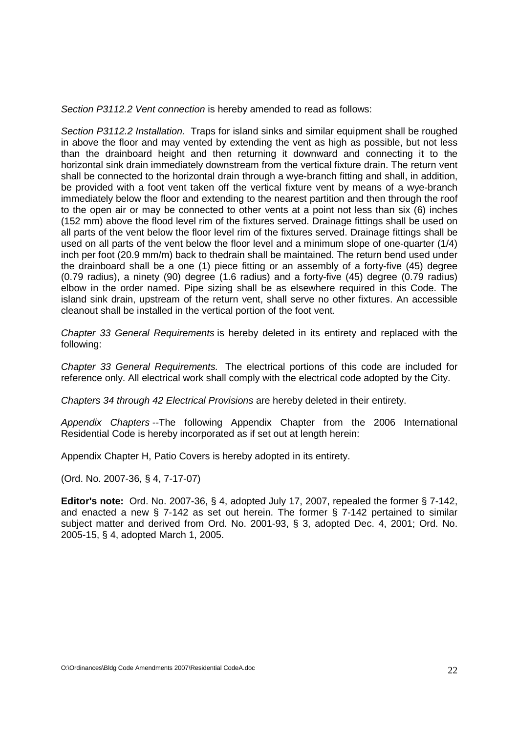Section P3112.2 Vent connection is hereby amended to read as follows:

Section P3112.2 Installation. Traps for island sinks and similar equipment shall be roughed in above the floor and may vented by extending the vent as high as possible, but not less than the drainboard height and then returning it downward and connecting it to the horizontal sink drain immediately downstream from the vertical fixture drain. The return vent shall be connected to the horizontal drain through a wye-branch fitting and shall, in addition, be provided with a foot vent taken off the vertical fixture vent by means of a wye-branch immediately below the floor and extending to the nearest partition and then through the roof to the open air or may be connected to other vents at a point not less than six (6) inches (152 mm) above the flood level rim of the fixtures served. Drainage fittings shall be used on all parts of the vent below the floor level rim of the fixtures served. Drainage fittings shall be used on all parts of the vent below the floor level and a minimum slope of one-quarter (1/4) inch per foot (20.9 mm/m) back to thedrain shall be maintained. The return bend used under the drainboard shall be a one (1) piece fitting or an assembly of a forty-five (45) degree (0.79 radius), a ninety (90) degree (1.6 radius) and a forty-five (45) degree (0.79 radius) elbow in the order named. Pipe sizing shall be as elsewhere required in this Code. The island sink drain, upstream of the return vent, shall serve no other fixtures. An accessible cleanout shall be installed in the vertical portion of the foot vent.

Chapter 33 General Requirements is hereby deleted in its entirety and replaced with the following:

Chapter 33 General Requirements. The electrical portions of this code are included for reference only. All electrical work shall comply with the electrical code adopted by the City.

Chapters 34 through 42 Electrical Provisions are hereby deleted in their entirety.

Appendix Chapters --The following Appendix Chapter from the 2006 International Residential Code is hereby incorporated as if set out at length herein:

Appendix Chapter H, Patio Covers is hereby adopted in its entirety.

(Ord. No. 2007-36, § 4, 7-17-07)

**Editor's note:** Ord. No. 2007-36, § 4, adopted July 17, 2007, repealed the former § 7-142, and enacted a new § 7-142 as set out herein. The former § 7-142 pertained to similar subject matter and derived from Ord. No. 2001-93, § 3, adopted Dec. 4, 2001; Ord. No. 2005-15, § 4, adopted March 1, 2005.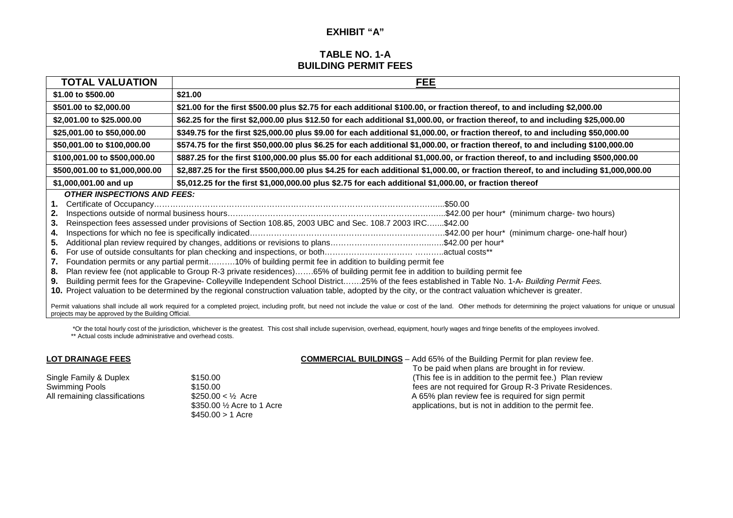## **EXHIBIT "A"**

## **TABLE NO. 1-A BUILDING PERMIT FEES**

| <b>TOTAL VALUATION</b>                                                                   | <b>FEE</b>                                                                                                                                                                                                                                                                                                                                                                                                                                                                                                                                                                                                                                                                                                                                                          |
|------------------------------------------------------------------------------------------|---------------------------------------------------------------------------------------------------------------------------------------------------------------------------------------------------------------------------------------------------------------------------------------------------------------------------------------------------------------------------------------------------------------------------------------------------------------------------------------------------------------------------------------------------------------------------------------------------------------------------------------------------------------------------------------------------------------------------------------------------------------------|
| \$1.00 to \$500.00                                                                       | \$21.00                                                                                                                                                                                                                                                                                                                                                                                                                                                                                                                                                                                                                                                                                                                                                             |
| \$501.00 to \$2,000.00                                                                   | \$21.00 for the first \$500.00 plus \$2.75 for each additional \$100.00, or fraction thereof, to and including \$2,000.00                                                                                                                                                                                                                                                                                                                                                                                                                                                                                                                                                                                                                                           |
| \$2,001.00 to \$25.000.00                                                                | \$62.25 for the first \$2,000.00 plus \$12.50 for each additional \$1,000.00, or fraction thereof, to and including \$25,000.00                                                                                                                                                                                                                                                                                                                                                                                                                                                                                                                                                                                                                                     |
| \$25,001.00 to \$50,000.00                                                               | \$349.75 for the first \$25,000.00 plus \$9.00 for each additional \$1,000.00, or fraction thereof, to and including \$50,000.00                                                                                                                                                                                                                                                                                                                                                                                                                                                                                                                                                                                                                                    |
| \$50,001.00 to \$100,000.00                                                              | \$574.75 for the first \$50,000.00 plus \$6.25 for each additional \$1,000.00, or fraction thereof, to and including \$100,000.00                                                                                                                                                                                                                                                                                                                                                                                                                                                                                                                                                                                                                                   |
| \$100,001.00 to \$500,000.00                                                             | \$887.25 for the first \$100,000.00 plus \$5.00 for each additional \$1,000.00, or fraction thereof, to and including \$500,000.00                                                                                                                                                                                                                                                                                                                                                                                                                                                                                                                                                                                                                                  |
| \$500,001.00 to \$1,000,000.00                                                           | \$2,887.25 for the first \$500,000.00 plus \$4.25 for each additional \$1,000.00, or fraction thereof, to and including \$1,000,000.00                                                                                                                                                                                                                                                                                                                                                                                                                                                                                                                                                                                                                              |
| \$1,000,001.00 and up                                                                    | \$5,012.25 for the first \$1,000,000.00 plus \$2.75 for each additional \$1,000.00, or fraction thereof                                                                                                                                                                                                                                                                                                                                                                                                                                                                                                                                                                                                                                                             |
| <b>OTHER INSPECTIONS AND FEES:</b><br>1.<br>2.<br>3.<br>4.<br>5.<br>6.<br>7.<br>8.<br>9. | Reinspection fees assessed under provisions of Section 108.85, 2003 UBC and Sec. 108.7 2003 IRC\$42.00<br>Additional plan review required by changes, additions or revisions to plans\$42.00 per hour*<br>Foundation permits or any partial permit10% of building permit fee in addition to building permit fee<br>Plan review fee (not applicable to Group R-3 private residences)65% of building permit fee in addition to building permit fee<br>Building permit fees for the Grapevine- Colleyville Independent School District25% of the fees established in Table No. 1-A- Building Permit Fees.<br>10. Project valuation to be determined by the regional construction valuation table, adopted by the city, or the contract valuation whichever is greater. |

Permit valuations shall include all work required for a completed project, including profit, but need not include the value or cost of the land. Other methods for determining the project valuations for unique or unusual projects may be approved by the Building Official.

 \*Or the total hourly cost of the jurisdiction, whichever is the greatest. This cost shall include supervision, overhead, equipment, hourly wages and fringe benefits of the employees involved. \*\* Actual costs include administrative and overhead costs.

#### **LOT DRAINAGE FEES**

 $$450.00 > 1$  Acre

#### **COMMERCIAL BUILDINGS** – Add 65% of the Building Permit for plan review fee.

 To be paid when plans are brought in for review. Single Family & Duplex \$150.00 (This fee is in addition to the permit fee.) Plan review Swimming Pools **6. Example 2008** fees are not required for Group R-3 Private Residences. All remaining classifications  $$250.00 < \frac{1}{2}$  Acre A 65% plan review fee is required for sign permit \$350.00 <sup>1</sup>/<sub>2</sub> Acre to 1 Acre applications, but is not in addition to the permit fee.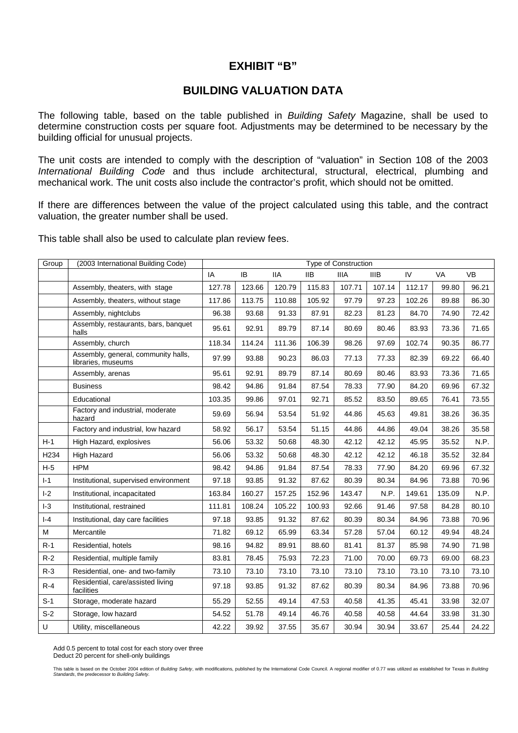## **EXHIBIT "B"**

## **BUILDING VALUATION DATA**

The following table, based on the table published in Building Safety Magazine, shall be used to determine construction costs per square foot. Adjustments may be determined to be necessary by the building official for unusual projects.

The unit costs are intended to comply with the description of "valuation" in Section 108 of the 2003 International Building Code and thus include architectural, structural, electrical, plumbing and mechanical work. The unit costs also include the contractor's profit, which should not be omitted.

If there are differences between the value of the project calculated using this table, and the contract valuation, the greater number shall be used.

This table shall also be used to calculate plan review fees.

| Group            | (2003 International Building Code)                        |        |        |            | <b>Type of Construction</b> |             |             |        |        |       |
|------------------|-----------------------------------------------------------|--------|--------|------------|-----------------------------|-------------|-------------|--------|--------|-------|
|                  |                                                           | IA     | IB     | <b>IIA</b> | IIB.                        | <b>IIIA</b> | <b>IIIB</b> | IV     | VA     | VB    |
|                  | Assembly, theaters, with stage                            | 127.78 | 123.66 | 120.79     | 115.83                      | 107.71      | 107.14      | 112.17 | 99.80  | 96.21 |
|                  | Assembly, theaters, without stage                         | 117.86 | 113.75 | 110.88     | 105.92                      | 97.79       | 97.23       | 102.26 | 89.88  | 86.30 |
|                  | Assembly, nightclubs                                      | 96.38  | 93.68  | 91.33      | 87.91                       | 82.23       | 81.23       | 84.70  | 74.90  | 72.42 |
|                  | Assembly, restaurants, bars, banquet<br>halls             | 95.61  | 92.91  | 89.79      | 87.14                       | 80.69       | 80.46       | 83.93  | 73.36  | 71.65 |
|                  | Assembly, church                                          | 118.34 | 114.24 | 111.36     | 106.39                      | 98.26       | 97.69       | 102.74 | 90.35  | 86.77 |
|                  | Assembly, general, community halls,<br>libraries, museums | 97.99  | 93.88  | 90.23      | 86.03                       | 77.13       | 77.33       | 82.39  | 69.22  | 66.40 |
|                  | Assembly, arenas                                          | 95.61  | 92.91  | 89.79      | 87.14                       | 80.69       | 80.46       | 83.93  | 73.36  | 71.65 |
|                  | <b>Business</b>                                           | 98.42  | 94.86  | 91.84      | 87.54                       | 78.33       | 77.90       | 84.20  | 69.96  | 67.32 |
|                  | Educational                                               | 103.35 | 99.86  | 97.01      | 92.71                       | 85.52       | 83.50       | 89.65  | 76.41  | 73.55 |
|                  | Factory and industrial, moderate<br>hazard                | 59.69  | 56.94  | 53.54      | 51.92                       | 44.86       | 45.63       | 49.81  | 38.26  | 36.35 |
|                  | Factory and industrial, low hazard                        | 58.92  | 56.17  | 53.54      | 51.15                       | 44.86       | 44.86       | 49.04  | 38.26  | 35.58 |
| $H-1$            | High Hazard, explosives                                   | 56.06  | 53.32  | 50.68      | 48.30                       | 42.12       | 42.12       | 45.95  | 35.52  | N.P.  |
| H <sub>234</sub> | High Hazard                                               | 56.06  | 53.32  | 50.68      | 48.30                       | 42.12       | 42.12       | 46.18  | 35.52  | 32.84 |
| $H-5$            | <b>HPM</b>                                                | 98.42  | 94.86  | 91.84      | 87.54                       | 78.33       | 77.90       | 84.20  | 69.96  | 67.32 |
| $I-1$            | Institutional, supervised environment                     | 97.18  | 93.85  | 91.32      | 87.62                       | 80.39       | 80.34       | 84.96  | 73.88  | 70.96 |
| $I-2$            | Institutional, incapacitated                              | 163.84 | 160.27 | 157.25     | 152.96                      | 143.47      | N.P.        | 149.61 | 135.09 | N.P.  |
| $ -3$            | Institutional, restrained                                 | 111.81 | 108.24 | 105.22     | 100.93                      | 92.66       | 91.46       | 97.58  | 84.28  | 80.10 |
| $I - 4$          | Institutional, day care facilities                        | 97.18  | 93.85  | 91.32      | 87.62                       | 80.39       | 80.34       | 84.96  | 73.88  | 70.96 |
| М                | Mercantile                                                | 71.82  | 69.12  | 65.99      | 63.34                       | 57.28       | 57.04       | 60.12  | 49.94  | 48.24 |
| $R-1$            | Residential, hotels                                       | 98.16  | 94.82  | 89.91      | 88.60                       | 81.41       | 81.37       | 85.98  | 74.90  | 71.98 |
| $R-2$            | Residential, multiple family                              | 83.81  | 78.45  | 75.93      | 72.23                       | 71.00       | 70.00       | 69.73  | 69.00  | 68.23 |
| $R-3$            | Residential, one- and two-family                          | 73.10  | 73.10  | 73.10      | 73.10                       | 73.10       | 73.10       | 73.10  | 73.10  | 73.10 |
| $R-4$            | Residential, care/assisted living<br>facilities           | 97.18  | 93.85  | 91.32      | 87.62                       | 80.39       | 80.34       | 84.96  | 73.88  | 70.96 |
| $S-1$            | Storage, moderate hazard                                  | 55.29  | 52.55  | 49.14      | 47.53                       | 40.58       | 41.35       | 45.41  | 33.98  | 32.07 |
| $S-2$            | Storage, low hazard                                       | 54.52  | 51.78  | 49.14      | 46.76                       | 40.58       | 40.58       | 44.64  | 33.98  | 31.30 |
| U                | Utility, miscellaneous                                    | 42.22  | 39.92  | 37.55      | 35.67                       | 30.94       | 30.94       | 33.67  | 25.44  | 24.22 |

Add 0.5 percent to total cost for each story over three Deduct 20 percent for shell-only buildings

This table is based on the October 2004 edition of *Building Safety*, with modifications, published by the International Code Council. A regional modifier of 0.77 was utilized as established for Texas in *Building*<br>S*tanda*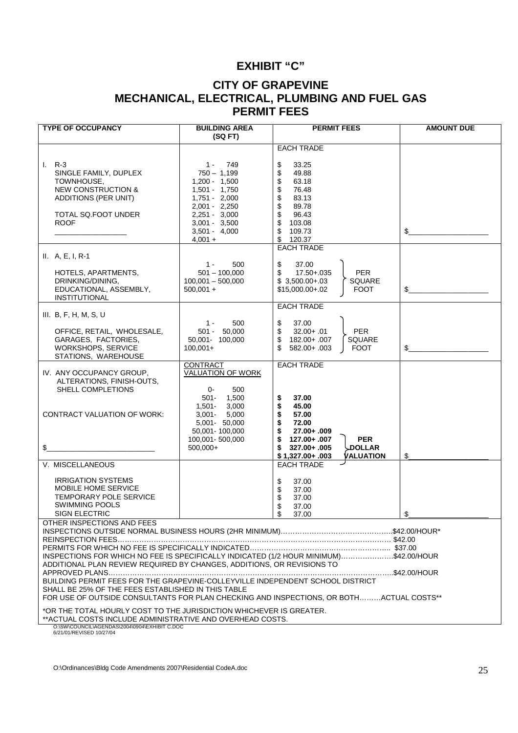## **EXHIBIT "C"**

## **CITY OF GRAPEVINE MECHANICAL, ELECTRICAL, PLUMBING AND FUEL GAS PERMIT FEES**

| <b>TYPE OF OCCUPANCY</b>                                                                                                                                                                                                                                                                                                                                                                           | <b>BUILDING AREA</b><br>(SQFT)                                                                                                                                                | <b>PERMIT FEES</b>                                                                                                                                                                                               | <b>AMOUNT DUE</b> |  |  |  |  |  |  |
|----------------------------------------------------------------------------------------------------------------------------------------------------------------------------------------------------------------------------------------------------------------------------------------------------------------------------------------------------------------------------------------------------|-------------------------------------------------------------------------------------------------------------------------------------------------------------------------------|------------------------------------------------------------------------------------------------------------------------------------------------------------------------------------------------------------------|-------------------|--|--|--|--|--|--|
|                                                                                                                                                                                                                                                                                                                                                                                                    |                                                                                                                                                                               | <b>EACH TRADE</b>                                                                                                                                                                                                |                   |  |  |  |  |  |  |
| $I. R-3$<br>SINGLE FAMILY, DUPLEX<br>TOWNHOUSE,<br><b>NEW CONSTRUCTION &amp;</b><br>ADDITIONS (PER UNIT)<br>TOTAL SQ.FOOT UNDER<br><b>ROOF</b>                                                                                                                                                                                                                                                     | 749<br>$1 -$<br>$750 - 1,199$<br>$1,200 - 1,500$<br>$1,501 - 1,750$<br>$1,751 - 2,000$<br>2,001 - 2,250<br>$2,251 - 3,000$<br>$3,001 - 3,500$<br>$3,501 - 4,000$<br>$4,001 +$ | 33.25<br>\$<br>\$<br>49.88<br>\$<br>63.18<br>\$<br>76.48<br>\$<br>83.13<br>\$<br>89.78<br>\$<br>96.43<br>\$<br>103.08<br>\$<br>109.73<br>\$<br>120.37<br><b>EACH TRADE</b>                                       | \$                |  |  |  |  |  |  |
| $II. A, E, I, R-1$<br>HOTELS, APARTMENTS,<br>DRINKING/DINING,<br>EDUCATIONAL, ASSEMBLY,<br><b>INSTITUTIONAL</b>                                                                                                                                                                                                                                                                                    | 500<br>$1 -$<br>$501 - 100,000$<br>$100,001 - 500,000$<br>$500,001 +$                                                                                                         | \$<br>37.00<br>\$<br><b>PER</b><br>17.50+.035<br>$$3,500.00+.03$<br>SQUARE<br><b>FOOT</b><br>\$15,000.00+.02                                                                                                     | \$                |  |  |  |  |  |  |
| III. $B, F, H, M, S, U$                                                                                                                                                                                                                                                                                                                                                                            |                                                                                                                                                                               | <b>EACH TRADE</b>                                                                                                                                                                                                |                   |  |  |  |  |  |  |
| OFFICE, RETAIL, WHOLESALE,<br>GARAGES, FACTORIES,<br><b>WORKSHOPS, SERVICE</b><br>STATIONS, WAREHOUSE                                                                                                                                                                                                                                                                                              | $1 -$<br>500<br>$501 - 50.000$<br>50,001- 100,000<br>$100,001+$                                                                                                               | \$<br>37.00<br>\$<br>$32.00 + .01$<br><b>PER</b><br>\$<br>182.00+.007<br>SQUARE<br>\$<br>582.00+.003<br><b>FOOT</b>                                                                                              | \$                |  |  |  |  |  |  |
| IV. ANY OCCUPANCY GROUP,<br>ALTERATIONS, FINISH-OUTS,<br>SHELL COMPLETIONS<br><b>CONTRACT VALUATION OF WORK:</b><br>\$                                                                                                                                                                                                                                                                             | CONTRACT<br>VALUATION OF WORK<br>0-<br>500<br>1,500<br>$501 -$<br>3,000<br>$1,501 -$<br>$3,001 -$<br>5,000<br>5,001- 50,000<br>50,001-100,000<br>100,001-500,000<br>500,000+  | <b>EACH TRADE</b><br>37.00<br>\$<br>\$<br>45.00<br>\$<br>57.00<br>\$<br>72.00<br>\$<br>27.00+ .009<br>\$<br><b>PER</b><br>127.00+ .007<br>\$<br>327.00+ .005<br>∖LDOLLAR<br><b>VALUATION</b><br>$$1,327.00+.003$ | \$                |  |  |  |  |  |  |
| V. MISCELLANEOUS                                                                                                                                                                                                                                                                                                                                                                                   |                                                                                                                                                                               | <b>EACH TRADE</b>                                                                                                                                                                                                |                   |  |  |  |  |  |  |
| <b>IRRIGATION SYSTEMS</b><br>MOBILE HOME SERVICE<br><b>TEMPORARY POLE SERVICE</b><br><b>SWIMMING POOLS</b><br>SIGN ELECTRIC                                                                                                                                                                                                                                                                        |                                                                                                                                                                               | \$<br>37.00<br>\$<br>37.00<br>\$<br>37.00<br>\$<br>37.00<br>37.00<br>\$                                                                                                                                          | \$                |  |  |  |  |  |  |
| OTHER INSPECTIONS AND FEES                                                                                                                                                                                                                                                                                                                                                                         |                                                                                                                                                                               |                                                                                                                                                                                                                  |                   |  |  |  |  |  |  |
| INSPECTIONS FOR WHICH NO FEE IS SPECIFICALLY INDICATED (1/2 HOUR MINIMUM)\$42.00/HOUR<br>ADDITIONAL PLAN REVIEW REQUIRED BY CHANGES, ADDITIONS, OR REVISIONS TO<br>BUILDING PERMIT FEES FOR THE GRAPEVINE-COLLEYVILLE INDEPENDENT SCHOOL DISTRICT<br>SHALL BE 25% OF THE FEES ESTABLISHED IN THIS TABLE<br>FOR USE OF OUTSIDE CONSULTANTS FOR PLAN CHECKING AND INSPECTIONS, OR BOTHACTUAL COSTS** |                                                                                                                                                                               |                                                                                                                                                                                                                  |                   |  |  |  |  |  |  |
| *OR THE TOTAL HOURLY COST TO THE JURISDICTION WHICHEVER IS GREATER.                                                                                                                                                                                                                                                                                                                                |                                                                                                                                                                               |                                                                                                                                                                                                                  |                   |  |  |  |  |  |  |
| **ACTUAL COSTS INCLUDE ADMINISTRATIVE AND OVERHEAD COSTS.<br>O:\SW\COUNCIL\AGENDAS\2004\0904\EXHIBIT C.DOC<br>6/21/01/REVISED 10/27/04                                                                                                                                                                                                                                                             |                                                                                                                                                                               |                                                                                                                                                                                                                  |                   |  |  |  |  |  |  |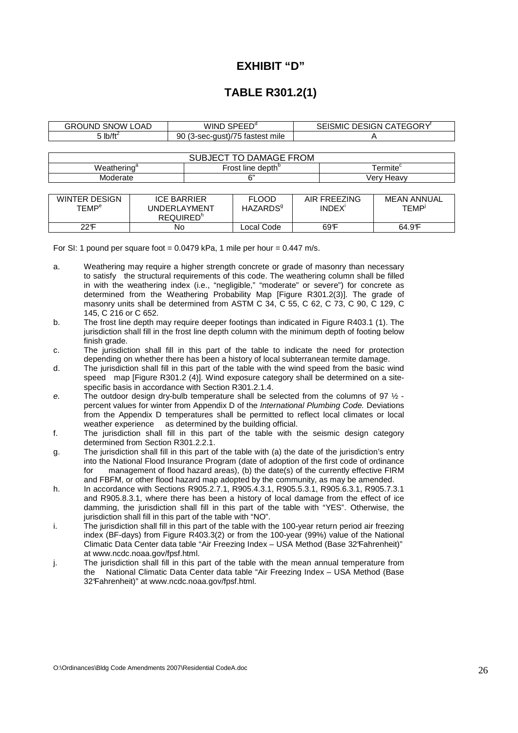## **EXHIBIT "D"**

## **TABLE R301.2(1)**

| <b>GROUND SNOW LOAD</b>                                                               | WIND SPEED <sup>d</sup> |                                             |                                                     |   | SEISMIC DESIGN CATEGORY <sup>®</sup> |  |  |  |  |
|---------------------------------------------------------------------------------------|-------------------------|---------------------------------------------|-----------------------------------------------------|---|--------------------------------------|--|--|--|--|
| $5$ lb/ft <sup>2</sup>                                                                |                         |                                             | 90 (3-sec-gust)/75 fastest mile                     | Α |                                      |  |  |  |  |
|                                                                                       |                         |                                             |                                                     |   |                                      |  |  |  |  |
| <b>SUBJECT TO DAMAGE FROM</b>                                                         |                         |                                             |                                                     |   |                                      |  |  |  |  |
| Weathering <sup>a</sup>                                                               |                         |                                             | Frost line depth <sup>b</sup><br>Termite $^{\rm c}$ |   |                                      |  |  |  |  |
| Moderate                                                                              |                         |                                             | 6"<br>Verv Heavv                                    |   |                                      |  |  |  |  |
|                                                                                       |                         |                                             |                                                     |   |                                      |  |  |  |  |
| <b>WINTER DESIGN</b><br><b>ICE BARRIER</b><br><b>TEMP<sup>e</sup></b><br>UNDERLAYMENT |                         | <b>FLOOD</b><br><b>HAZARDS</b> <sup>9</sup> | AIR FREEZING<br>INDEX <sup>1</sup>                  |   | <b>MEAN ANNUAL</b><br><b>TEMP</b>    |  |  |  |  |
|                                                                                       | REQUIRED <sup>h</sup>   |                                             |                                                     |   |                                      |  |  |  |  |

22°F No Local Code 69°F 64.9°F

For SI: 1 pound per square foot =  $0.0479$  kPa, 1 mile per hour =  $0.447$  m/s.

a. Weathering may require a higher strength concrete or grade of masonry than necessary to satisfy the structural requirements of this code. The weathering column shall be filled in with the weathering index (i.e., "negligible," "moderate" or severe") for concrete as determined from the Weathering Probability Map [Figure R301.2(3)]. The grade of masonry units shall be determined from ASTM C 34, C 55, C 62, C 73, C 90, C 129, C 145, C 216 or C 652.

- b. The frost line depth may require deeper footings than indicated in Figure R403.1 (1). The jurisdiction shall fill in the frost line depth column with the minimum depth of footing below finish grade.
- c. The jurisdiction shall fill in this part of the table to indicate the need for protection depending on whether there has been a history of local subterranean termite damage.
- d. The jurisdiction shall fill in this part of the table with the wind speed from the basic wind speed map [Figure R301.2 (4)]. Wind exposure category shall be determined on a sitespecific basis in accordance with Section R301.2.1.4.
- e. The outdoor design dry-bulb temperature shall be selected from the columns of 97  $\frac{1}{2}$  percent values for winter from Appendix D of the International Plumbing Code. Deviations from the Appendix D temperatures shall be permitted to reflect local climates or local weather experience as determined by the building official.
- f. The jurisdiction shall fill in this part of the table with the seismic design category determined from Section R301.2.2.1.
- g. The jurisdiction shall fill in this part of the table with (a) the date of the jurisdiction's entry into the National Flood Insurance Program (date of adoption of the first code of ordinance for management of flood hazard areas), (b) the date(s) of the currently effective FIRM and FBFM, or other flood hazard map adopted by the community, as may be amended.
- h. In accordance with Sections R905.2.7.1, R905.4.3.1, R905.5.3.1, R905.6.3.1, R905.7.3.1 and R905.8.3.1, where there has been a history of local damage from the effect of ice damming, the jurisdiction shall fill in this part of the table with "YES". Otherwise, the jurisdiction shall fill in this part of the table with "NO".
- i. The jurisdiction shall fill in this part of the table with the 100-year return period air freezing index (BF-days) from Figure R403.3(2) or from the 100-year (99%) value of the National Climatic Data Center data table "Air Freezing Index – USA Method (Base 32°Fahrenheit)" at www.ncdc.noaa.gov/fpsf.html.
- j. The jurisdiction shall fill in this part of the table with the mean annual temperature from the National Climatic Data Center data table "Air Freezing Index – USA Method (Base 32°Fahrenheit)" at www.ncdc.noaa.gov/fpsf.html.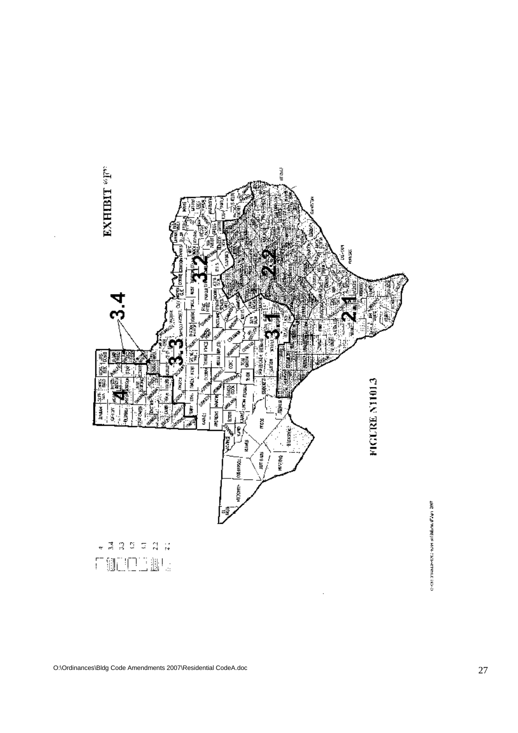

o contra media e esta aliadamente a con-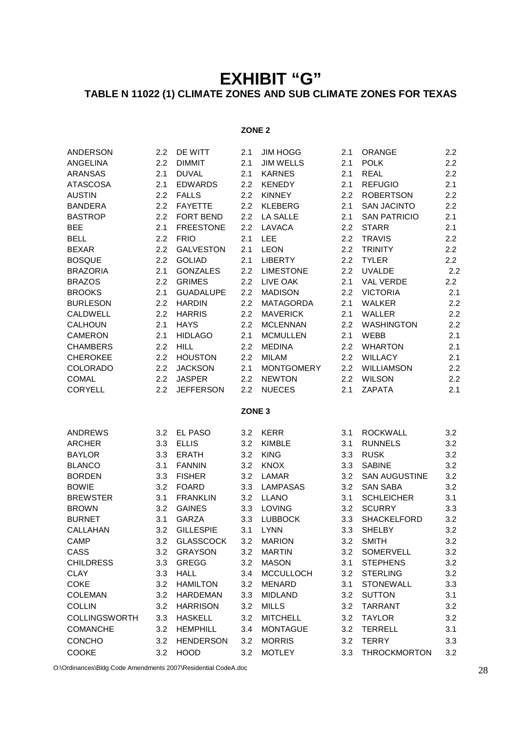# **EXHIBIT "G" TABLE N 11022 (1) CLIMATE ZONES AND SUB CLIMATE ZONES FOR TEXAS**

## **ZONE 2**

| <b>ANDERSON</b>                 | 2.2        | <b>DE WITT</b>          | 2.1               | <b>JIM HOGG</b>              | 2.1        | <b>ORANGE</b>                     | 2.2              |
|---------------------------------|------------|-------------------------|-------------------|------------------------------|------------|-----------------------------------|------------------|
| <b>ANGELINA</b>                 | 2.2        | <b>DIMMIT</b>           | 2.1               | <b>JIM WELLS</b>             | 2.1        | <b>POLK</b>                       | 2.2              |
| <b>ARANSAS</b>                  | 2.1        | <b>DUVAL</b>            | 2.1               | <b>KARNES</b>                | 2.1        | <b>REAL</b>                       | 2.2              |
| <b>ATASCOSA</b>                 | 2.1        | <b>EDWARDS</b>          | 2.2               | <b>KENEDY</b>                | 2.1        | <b>REFUGIO</b>                    | 2.1              |
| <b>AUSTIN</b>                   | 2.2        | <b>FALLS</b>            | 2.2               | <b>KINNEY</b>                | 2.2        | <b>ROBERTSON</b>                  | 2.2              |
| <b>BANDERA</b>                  | 2.2        | <b>FAYETTE</b>          | $2.2\phantom{0}$  | <b>KLEBERG</b>               | 2.1        | <b>SAN JACINTO</b>                | 2.2              |
| <b>BASTROP</b>                  | 2.2        | <b>FORT BEND</b>        | 2.2               | <b>LA SALLE</b>              | 2.1        | <b>SAN PATRICIO</b>               | 2.1              |
| <b>BEE</b>                      | 2.1        | <b>FREESTONE</b>        | 2.2               | LAVACA                       | 2.2        | <b>STARR</b>                      | 2.1              |
| <b>BELL</b>                     | 2.2        | <b>FRIO</b>             | 2.1               | <b>LEE</b>                   | 2.2        | <b>TRAVIS</b>                     | 2.2              |
| <b>BEXAR</b>                    | 2.2        | <b>GALVESTON</b>        | 2.1               | <b>LEON</b>                  | 2.2        | <b>TRINITY</b>                    | $2.2\phantom{0}$ |
| <b>BOSQUE</b>                   | 2.2        | <b>GOLIAD</b>           | 2.1               | <b>LIBERTY</b>               | 2.2        | <b>TYLER</b>                      | $2.2\phantom{0}$ |
| <b>BRAZORIA</b>                 | 2.1        | <b>GONZALES</b>         | 2.2               | <b>LIMESTONE</b>             | 2.2        | <b>UVALDE</b>                     | 2.2              |
| <b>BRAZOS</b>                   | 2.2        | <b>GRIMES</b>           | 2.2               | LIVE OAK                     | 2.1        | <b>VAL VERDE</b>                  | $2.2\phantom{0}$ |
| <b>BROOKS</b>                   | 2.1        | <b>GUADALUPE</b>        | 2.2               | <b>MADISON</b>               | 2.2        | <b>VICTORIA</b>                   | 2.1              |
| <b>BURLESON</b>                 | 2.2        | <b>HARDIN</b>           | 2.2               | <b>MATAGORDA</b>             | 2.1        | <b>WALKER</b>                     | 2.2              |
| <b>CALDWELL</b>                 | 2.2        | <b>HARRIS</b>           | 2.2               | <b>MAVERICK</b>              | 2.1        | WALLER                            | 2.2              |
| <b>CALHOUN</b>                  | 2.1        | <b>HAYS</b>             | 2.2               | <b>MCLENNAN</b>              | 2.2        | <b>WASHINGTON</b>                 | 2.2              |
| <b>CAMERON</b>                  | 2.1        | <b>HIDLAGO</b>          | 2.1               | <b>MCMULLEN</b>              | 2.1        | WEBB                              | 2.1              |
| <b>CHAMBERS</b>                 | 2.2        | <b>HILL</b>             | 2.2               | <b>MEDINA</b>                | 2.2        | <b>WHARTON</b>                    | 2.1              |
| <b>CHEROKEE</b>                 | 2.2        | <b>HOUSTON</b>          | 2.2               | <b>MILAM</b>                 | 2.2        | <b>WILLACY</b>                    | 2.1              |
| <b>COLORADO</b>                 | 2.2        | <b>JACKSON</b>          | 2.1               | <b>MONTGOMERY</b>            | 2.2        | <b>WILLIAMSON</b>                 | 2.2              |
| <b>COMAL</b>                    | 2.2        | <b>JASPER</b>           | 2.2               | <b>NEWTON</b>                | 2.2        | <b>WILSON</b>                     | 2.2              |
|                                 |            | <b>JEFFERSON</b>        | 2.2               | <b>NUECES</b>                | 2.1        | ZAPATA                            | 2.1              |
| <b>CORYELL</b>                  | 2.2        |                         |                   |                              |            |                                   |                  |
|                                 |            |                         | ZONE <sub>3</sub> |                              |            |                                   |                  |
|                                 |            |                         |                   |                              |            |                                   |                  |
| <b>ANDREWS</b><br><b>ARCHER</b> | 3.2<br>3.3 | EL PASO<br><b>ELLIS</b> | 3.2<br>3.2        | <b>KERR</b><br><b>KIMBLE</b> | 3.1<br>3.1 | <b>ROCKWALL</b><br><b>RUNNELS</b> | 3.2<br>3.2       |
| <b>BAYLOR</b>                   | 3.3        | <b>ERATH</b>            | 3.2               | <b>KING</b>                  | 3.3        | <b>RUSK</b>                       | 3.2              |
| <b>BLANCO</b>                   | 3.1        | <b>FANNIN</b>           | 3.2               | <b>KNOX</b>                  | 3.3        | <b>SABINE</b>                     | 3.2              |
| <b>BORDEN</b>                   | 3.3        | <b>FISHER</b>           | 3.2               | LAMAR                        | 3.2        | <b>SAN AUGUSTINE</b>              | 3.2              |
| <b>BOWIE</b>                    | 3.2        | <b>FOARD</b>            | 3.3               | <b>LAMPASAS</b>              | 3.2        | <b>SAN SABA</b>                   | 3.2              |
| <b>BREWSTER</b>                 | 3.1        | <b>FRANKLIN</b>         | 3.2               | <b>LLANO</b>                 | 3.1        | <b>SCHLEICHER</b>                 | 3.1              |
| <b>BROWN</b>                    | 3.2        | <b>GAINES</b>           | 3.3               | LOVING                       | 3.2        | <b>SCURRY</b>                     | 3.3              |
| <b>BURNET</b>                   | 3.1        | <b>GARZA</b>            | 3.3               | <b>LUBBOCK</b>               | 3.3        | <b>SHACKELFORD</b>                | 3.2              |
| CALLAHAN                        | 3.2        | <b>GILLESPIE</b>        | 3.1               | <b>LYNN</b>                  | 3.3        | <b>SHELBY</b>                     | 3.2              |
| CAMP                            | 3.2        | <b>GLASSCOCK</b>        | 3.2               | <b>MARION</b>                | 3.2        | <b>SMITH</b>                      | 3.2              |
| CASS                            | 3.2        | <b>GRAYSON</b>          | 3.2               | <b>MARTIN</b>                | 3.2        | SOMERVELL                         | 3.2              |
| <b>CHILDRESS</b>                | 3.3        | <b>GREGG</b>            | 3.2               | <b>MASON</b>                 | 3.1        | <b>STEPHENS</b>                   | 3.2              |
| <b>CLAY</b>                     | 3.3        | <b>HALL</b>             | 3.4               | <b>MCCULLOCH</b>             | 3.2        | <b>STERLING</b>                   | 3.2              |
| <b>COKE</b>                     | 3.2        | <b>HAMILTON</b>         | 3.2               | MENARD                       | 3.1        | <b>STONEWALL</b>                  | 3.3              |
| <b>COLEMAN</b>                  | 3.2        | <b>HARDEMAN</b>         | 3.3               | <b>MIDLAND</b>               | 3.2        | <b>SUTTON</b>                     | 3.1              |
| <b>COLLIN</b>                   | 3.2        | <b>HARRISON</b>         | 3.2               | <b>MILLS</b>                 | 3.2        | <b>TARRANT</b>                    | 3.2              |
| <b>COLLINGSWORTH</b>            | 3.3        | <b>HASKELL</b>          | 3.2               | <b>MITCHELL</b>              | 3.2        | <b>TAYLOR</b>                     | 3.2              |
| <b>COMANCHE</b>                 | 3.2        | <b>HEMPHILL</b>         | 3.4               | <b>MONTAGUE</b>              | 3.2        | <b>TERRELL</b>                    | 3.1              |
| <b>CONCHO</b>                   | 3.2        | <b>HENDERSON</b>        | 3.2               | <b>MORRIS</b>                | 3.2        | <b>TERRY</b>                      | 3.3              |

O:\Ordinances\Bldg Code Amendments 2007\Residential CodeA.doc 28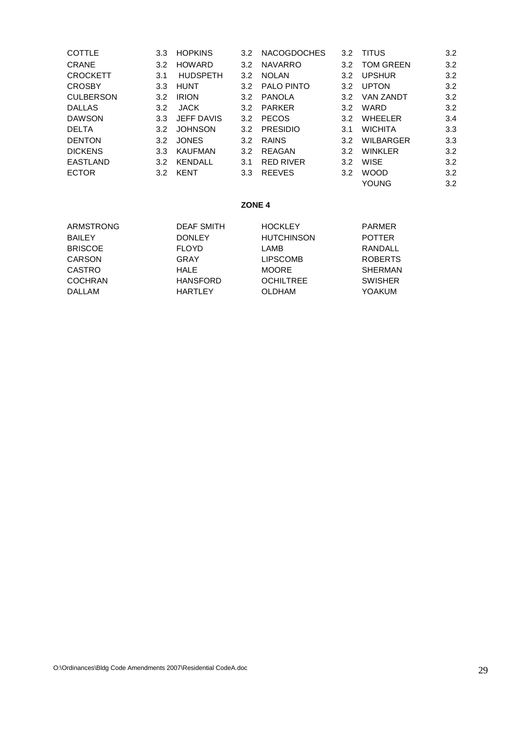| <b>COTTLE</b>    | 3.3              | <b>HOPKINS</b>    | 3.2              | <b>NACOGDOCHES</b> | 3.2              | <b>TITUS</b>     | 3.2 |
|------------------|------------------|-------------------|------------------|--------------------|------------------|------------------|-----|
| <b>CRANE</b>     | 3.2              | <b>HOWARD</b>     | 3.2              | <b>NAVARRO</b>     | 3.2 <sub>2</sub> | <b>TOM GREEN</b> | 3.2 |
| <b>CROCKETT</b>  | 3.1              | <b>HUDSPETH</b>   | 3.2              | <b>NOLAN</b>       | 3.2              | <b>UPSHUR</b>    | 3.2 |
| <b>CROSBY</b>    | 3.3 <sub>2</sub> | <b>HUNT</b>       | 3.2              | <b>PALO PINTO</b>  | 3.2              | <b>UPTON</b>     | 3.2 |
| <b>CULBERSON</b> | 3.2              | <b>IRION</b>      | 3.2              | PANOLA             | 3.2              | <b>VAN ZANDT</b> | 3.2 |
| <b>DALLAS</b>    | 3.2              | <b>JACK</b>       | 3.2              | <b>PARKER</b>      | 3.2              | WARD             | 3.2 |
| <b>DAWSON</b>    | 3.3 <sub>2</sub> | <b>JEFF DAVIS</b> | 3.2              | <b>PECOS</b>       | 3.2 <sub>2</sub> | <b>WHEELER</b>   | 3.4 |
| <b>DELTA</b>     | 3.2              | <b>JOHNSON</b>    | 3.2              | <b>PRESIDIO</b>    | 3.1              | <b>WICHITA</b>   | 3.3 |
| <b>DENTON</b>    | 3.2              | <b>JONES</b>      | 3.2              | <b>RAINS</b>       | 3.2              | <b>WILBARGER</b> | 3.3 |
| <b>DICKENS</b>   | 3.3              | <b>KAUFMAN</b>    | 3.2              | REAGAN             | 3.2              | <b>WINKLER</b>   | 3.2 |
| <b>EASTLAND</b>  | 3.2              | <b>KENDALL</b>    | 3.1              | <b>RED RIVER</b>   | 3.2              | <b>WISE</b>      | 3.2 |
| <b>ECTOR</b>     | 3.2              | KENT              | 3.3 <sub>2</sub> | <b>REEVES</b>      | 3.2              | <b>WOOD</b>      | 3.2 |
|                  |                  |                   |                  |                    |                  | <b>YOUNG</b>     | 3.2 |

### **ZONE 4**

| ARMSTRONG      | <b>DEAF SMITH</b> | <b>HOCKLEY</b>    | PARMER         |
|----------------|-------------------|-------------------|----------------|
| <b>BAILEY</b>  | <b>DONLEY</b>     | <b>HUTCHINSON</b> | <b>POTTER</b>  |
| <b>BRISCOE</b> | <b>FLOYD</b>      | LAMB              | RANDALL        |
| CARSON         | GRAY              | <b>LIPSCOMB</b>   | <b>ROBERTS</b> |
| <b>CASTRO</b>  | <b>HALE</b>       | <b>MOORE</b>      | <b>SHERMAN</b> |
| <b>COCHRAN</b> | <b>HANSFORD</b>   | <b>OCHILTREE</b>  | <b>SWISHER</b> |
| <b>DALLAM</b>  | HARTLEY           | <b>OLDHAM</b>     | YOAKUM         |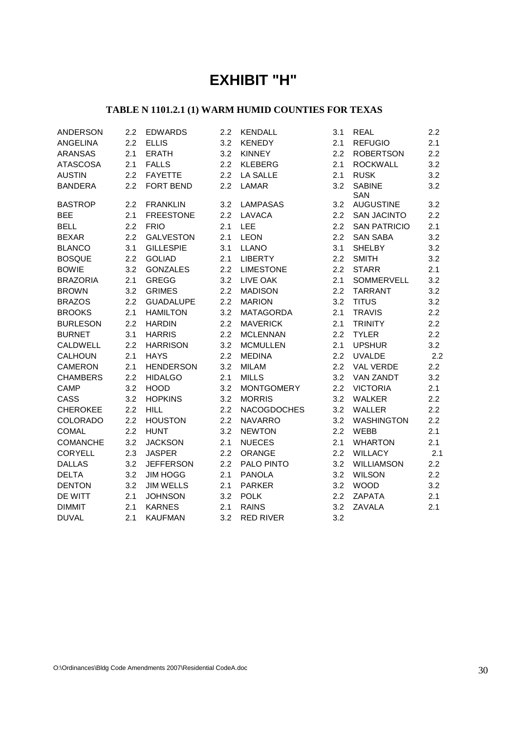# **EXHIBIT "H"**

## **TABLE N 1101.2.1 (1) WARM HUMID COUNTIES FOR TEXAS**

| <b>ANDERSON</b> | 2.2 | <b>EDWARDS</b>   | 2.2 | <b>KENDALL</b>     | 3.1 | <b>REAL</b>                 | 2.2              |
|-----------------|-----|------------------|-----|--------------------|-----|-----------------------------|------------------|
| <b>ANGELINA</b> | 2.2 | <b>ELLIS</b>     | 3.2 | <b>KENEDY</b>      | 2.1 | <b>REFUGIO</b>              | 2.1              |
| <b>ARANSAS</b>  | 2.1 | <b>ERATH</b>     | 3.2 | <b>KINNEY</b>      | 2.2 | <b>ROBERTSON</b>            | 2.2              |
| <b>ATASCOSA</b> | 2.1 | <b>FALLS</b>     | 2.2 | <b>KLEBERG</b>     | 2.1 | <b>ROCKWALL</b>             | 3.2              |
| <b>AUSTIN</b>   | 2.2 | <b>FAYETTE</b>   | 2.2 | <b>LA SALLE</b>    | 2.1 | <b>RUSK</b>                 | 3.2              |
| <b>BANDERA</b>  | 2.2 | <b>FORT BEND</b> | 2.2 | <b>LAMAR</b>       | 3.2 | <b>SABINE</b><br><b>SAN</b> | 3.2              |
| <b>BASTROP</b>  | 2.2 | <b>FRANKLIN</b>  | 3.2 | <b>LAMPASAS</b>    | 3.2 | <b>AUGUSTINE</b>            | 3.2              |
| <b>BEE</b>      | 2.1 | <b>FREESTONE</b> | 2.2 | LAVACA             | 2.2 | <b>SAN JACINTO</b>          | 2.2              |
| <b>BELL</b>     | 2.2 | <b>FRIO</b>      | 2.1 | LEE                | 2.2 | <b>SAN PATRICIO</b>         | 2.1              |
| <b>BEXAR</b>    | 2.2 | <b>GALVESTON</b> | 2.1 | <b>LEON</b>        | 2.2 | <b>SAN SABA</b>             | 3.2              |
| <b>BLANCO</b>   | 3.1 | <b>GILLESPIE</b> | 3.1 | <b>LLANO</b>       | 3.1 | <b>SHELBY</b>               | 3.2              |
| <b>BOSQUE</b>   | 2.2 | <b>GOLIAD</b>    | 2.1 | <b>LIBERTY</b>     | 2.2 | <b>SMITH</b>                | 3.2              |
| <b>BOWIE</b>    | 3.2 | <b>GONZALES</b>  | 2.2 | <b>LIMESTONE</b>   | 2.2 | <b>STARR</b>                | 2.1              |
| <b>BRAZORIA</b> | 2.1 | <b>GREGG</b>     | 3.2 | LIVE OAK           | 2.1 | SOMMERVELL                  | 3.2              |
| <b>BROWN</b>    | 3.2 | <b>GRIMES</b>    | 2.2 | <b>MADISON</b>     | 2.2 | <b>TARRANT</b>              | 3.2              |
| <b>BRAZOS</b>   | 2.2 | <b>GUADALUPE</b> | 2.2 | <b>MARION</b>      | 3.2 | <b>TITUS</b>                | 3.2              |
| <b>BROOKS</b>   | 2.1 | <b>HAMILTON</b>  | 3.2 | <b>MATAGORDA</b>   | 2.1 | <b>TRAVIS</b>               | $2.2\phantom{0}$ |
| <b>BURLESON</b> | 2.2 | <b>HARDIN</b>    | 2.2 | <b>MAVERICK</b>    | 2.1 | <b>TRINITY</b>              | $2.2\phantom{0}$ |
| <b>BURNET</b>   | 3.1 | <b>HARRIS</b>    | 2.2 | <b>MCLENNAN</b>    | 2.2 | <b>TYLER</b>                | 2.2              |
| CALDWELL        | 2.2 | <b>HARRISON</b>  | 3.2 | <b>MCMULLEN</b>    | 2.1 | <b>UPSHUR</b>               | 3.2              |
| <b>CALHOUN</b>  | 2.1 | <b>HAYS</b>      | 2.2 | <b>MEDINA</b>      | 2.2 | <b>UVALDE</b>               | 2.2              |
| <b>CAMERON</b>  | 2.1 | <b>HENDERSON</b> | 3.2 | <b>MILAM</b>       | 2.2 | <b>VAL VERDE</b>            | $2.2\phantom{0}$ |
| <b>CHAMBERS</b> | 2.2 | <b>HIDALGO</b>   | 2.1 | <b>MILLS</b>       | 3.2 | <b>VAN ZANDT</b>            | 3.2              |
| <b>CAMP</b>     | 3.2 | <b>HOOD</b>      | 3.2 | <b>MONTGOMERY</b>  | 2.2 | <b>VICTORIA</b>             | 2.1              |
| CASS            | 3.2 | <b>HOPKINS</b>   | 3.2 | <b>MORRIS</b>      | 3.2 | <b>WALKER</b>               | 2.2              |
| <b>CHEROKEE</b> | 2.2 | <b>HILL</b>      | 2.2 | <b>NACOGDOCHES</b> | 3.2 | <b>WALLER</b>               | $2.2\phantom{0}$ |
| COLORADO        | 2.2 | <b>HOUSTON</b>   | 2.2 | <b>NAVARRO</b>     | 3.2 | <b>WASHINGTON</b>           | 2.2              |
| <b>COMAL</b>    | 2.2 | <b>HUNT</b>      | 3.2 | <b>NEWTON</b>      | 2.2 | <b>WEBB</b>                 | 2.1              |
| <b>COMANCHE</b> | 3.2 | <b>JACKSON</b>   | 2.1 | <b>NUECES</b>      | 2.1 | <b>WHARTON</b>              | 2.1              |
| <b>CORYELL</b>  | 2.3 | <b>JASPER</b>    | 2.2 | ORANGE             | 2.2 | <b>WILLACY</b>              | 2.1              |
| <b>DALLAS</b>   | 3.2 | <b>JEFFERSON</b> | 2.2 | PALO PINTO         | 3.2 | <b>WILLIAMSON</b>           | 2.2              |
| <b>DELTA</b>    | 3.2 | <b>JIM HOGG</b>  | 2.1 | <b>PANOLA</b>      | 3.2 | <b>WILSON</b>               | $2.2\phantom{0}$ |
| <b>DENTON</b>   | 3.2 | <b>JIM WELLS</b> | 2.1 | <b>PARKER</b>      | 3.2 | <b>WOOD</b>                 | 3.2              |
| DE WITT         | 2.1 | <b>JOHNSON</b>   | 3.2 | <b>POLK</b>        | 2.2 | <b>ZAPATA</b>               | 2.1              |
| <b>DIMMIT</b>   | 2.1 | <b>KARNES</b>    | 2.1 | <b>RAINS</b>       | 3.2 | ZAVALA                      | 2.1              |
| <b>DUVAL</b>    | 2.1 | <b>KAUFMAN</b>   | 3.2 | <b>RED RIVER</b>   | 3.2 |                             |                  |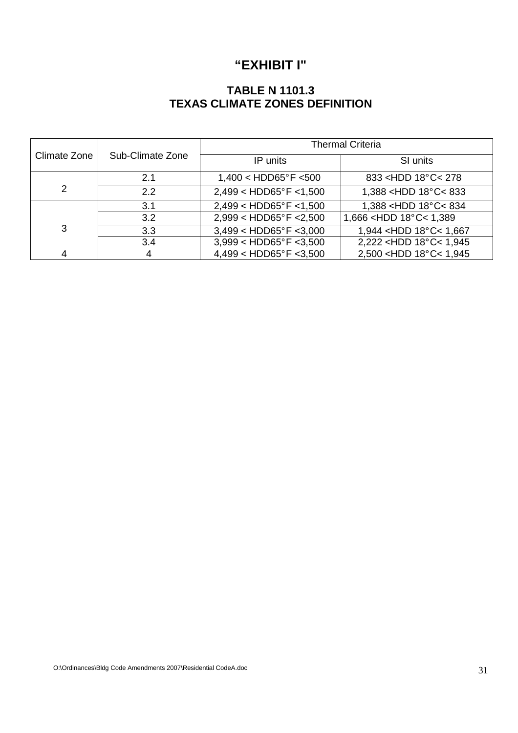# **"EXHIBIT I"**

## **TABLE N 1101.3 TEXAS CLIMATE ZONES DEFINITION**

|              |                  | <b>Thermal Criteria</b>          |                                            |  |  |  |  |  |
|--------------|------------------|----------------------------------|--------------------------------------------|--|--|--|--|--|
| Climate Zone | Sub-Climate Zone | IP units                         | SI units                                   |  |  |  |  |  |
|              | 2.1              | $1,400 < HDD65^{\circ}F < 500$   | 833 <hdd 18°c<="" 278<="" td=""></hdd>     |  |  |  |  |  |
| 2            | 2.2              | $2,499 < HDD65^{\circ}F < 1,500$ | 1,388 <hdd 18°c<833<="" td=""></hdd>       |  |  |  |  |  |
|              | 3.1              | $2,499 < HDD65^{\circ}F < 1,500$ | 1,388 <hdd 18°c<834<="" td=""></hdd>       |  |  |  |  |  |
|              | 3.2              | $2,999 < HDD65^{\circ}F < 2,500$ | 1,666 <hdd 1,389<="" 18°c<="" td=""></hdd> |  |  |  |  |  |
| 3            | 3.3              | $3,499 < HDD65^{\circ}F < 3,000$ | 1,944 < HDD 18°C < 1,667                   |  |  |  |  |  |
|              | 3.4              | $3,999 < HDD65^{\circ}F < 3,500$ | 2,222 <hdd 1,945<="" 18°c<="" td=""></hdd> |  |  |  |  |  |
|              |                  | $4,499 < HDD65^{\circ}F < 3,500$ | 2,500 <hdd 1,945<="" 18°c<="" td=""></hdd> |  |  |  |  |  |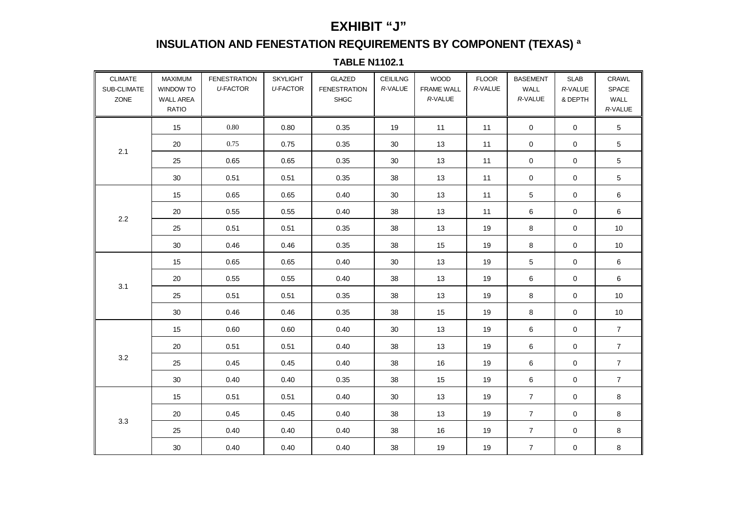## **EXHIBIT "J"**

# **INSULATION AND FENESTATION REQUIREMENTS BY COMPONENT (TEXAS) ª**

**TABLE N1102.1** 

| <b>CLIMATE</b><br>SUB-CLIMATE<br>ZONE | MAXIMUM<br>WINDOW TO<br><b>WALL AREA</b><br><b>RATIO</b> | <b>FENESTRATION</b><br><b>U-FACTOR</b> | <b>SKYLIGHT</b><br><b>U-FACTOR</b> | GLAZED<br><b>FENESTRATION</b><br><b>SHGC</b> | <b>CEILILNG</b><br>R-VALUE | <b>WOOD</b><br><b>FRAME WALL</b><br>R-VALUE | <b>FLOOR</b><br>R-VALUE | <b>BASEMENT</b><br>WALL<br>R-VALUE | <b>SLAB</b><br>R-VALUE<br>& DEPTH | CRAWL<br>SPACE<br>WALL<br>R-VALUE |
|---------------------------------------|----------------------------------------------------------|----------------------------------------|------------------------------------|----------------------------------------------|----------------------------|---------------------------------------------|-------------------------|------------------------------------|-----------------------------------|-----------------------------------|
|                                       | 15                                                       | 0.80                                   | 0.80                               | 0.35                                         | 19                         | 11                                          | 11                      | $\mathbf 0$                        | $\mathbf 0$                       | $5\phantom{.0}$                   |
|                                       | 20                                                       | 0.75                                   | 0.75                               | 0.35                                         | 30                         | 13                                          | 11                      | 0                                  | 0                                 | 5                                 |
| 2.1                                   | 25                                                       | 0.65                                   | 0.65                               | 0.35                                         | 30                         | 13                                          | 11                      | $\mathbf 0$                        | $\mathbf 0$                       | 5                                 |
|                                       | 30                                                       | 0.51                                   | 0.51                               | 0.35                                         | 38                         | 13                                          | 11                      | 0                                  | 0                                 | $\overline{5}$                    |
|                                       | 15                                                       | 0.65                                   | 0.65                               | 0.40                                         | 30                         | 13                                          | 11                      | $\overline{5}$                     | 0                                 | 6                                 |
| $2.2\,$                               | 20                                                       | 0.55                                   | 0.55                               | 0.40                                         | 38                         | 13                                          | 11                      | 6                                  | 0                                 | 6                                 |
|                                       | 25                                                       | 0.51                                   | 0.51                               | 0.35                                         | 38                         | 13                                          | 19                      | 8                                  | 0                                 | 10                                |
|                                       | 30                                                       | 0.46                                   | 0.46                               | 0.35                                         | 38                         | 15                                          | 19                      | 8                                  | 0                                 | $10$                              |
|                                       | 15                                                       | 0.65                                   | 0.65                               | 0.40                                         | 30                         | 13                                          | 19                      | $\overline{5}$                     | 0                                 | $\,6\,$                           |
|                                       | 20                                                       | 0.55                                   | 0.55                               | 0.40                                         | 38                         | 13                                          | 19                      | 6                                  | 0                                 | $\,6\,$                           |
| 3.1                                   | 25                                                       | 0.51                                   | 0.51                               | 0.35                                         | 38                         | 13                                          | 19                      | 8                                  | $\mathbf 0$                       | 10                                |
|                                       | 30                                                       | 0.46                                   | 0.46                               | 0.35                                         | 38                         | 15                                          | 19                      | 8                                  | 0                                 | 10                                |
|                                       | 15                                                       | 0.60                                   | 0.60                               | 0.40                                         | 30                         | 13                                          | 19                      | 6                                  | $\mathbf 0$                       | $\overline{7}$                    |
|                                       | 20                                                       | 0.51                                   | 0.51                               | 0.40                                         | 38                         | 13                                          | 19                      | 6                                  | $\mathbf 0$                       | $\overline{7}$                    |
| $3.2\,$                               | 25                                                       | 0.45                                   | 0.45                               | 0.40                                         | 38                         | 16                                          | 19                      | $\,6$                              | 0                                 | $\boldsymbol{7}$                  |
|                                       | 30                                                       | 0.40                                   | 0.40                               | 0.35                                         | 38                         | 15                                          | 19                      | 6                                  | 0                                 | $\overline{7}$                    |
|                                       | 15                                                       | 0.51                                   | 0.51                               | 0.40                                         | 30                         | 13                                          | 19                      | $\overline{7}$                     | 0                                 | 8                                 |
|                                       | 20                                                       | 0.45                                   | 0.45                               | 0.40                                         | 38                         | 13                                          | 19                      | $\overline{7}$                     | 0                                 | 8                                 |
| $3.3\,$                               | 25                                                       | 0.40                                   | 0.40                               | 0.40                                         | 38                         | 16                                          | 19                      | $\overline{7}$                     | 0                                 | 8                                 |
|                                       | $30\,$                                                   | 0.40                                   | 0.40                               | 0.40                                         | 38                         | 19                                          | 19                      | $\overline{7}$                     | $\mathbf 0$                       | $\bf 8$                           |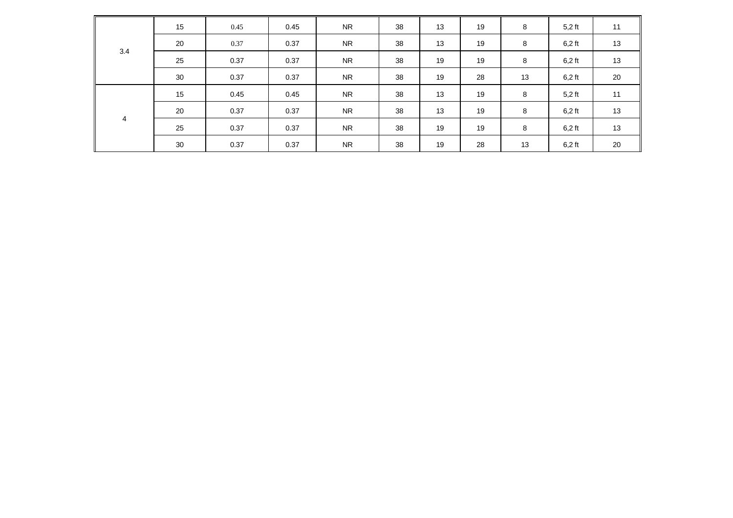| 3.4 | 15 | 0.45 | 0.45 | <b>NR</b> | 38 | 13 | 19 | 8  | $5,2$ ft | 11 |
|-----|----|------|------|-----------|----|----|----|----|----------|----|
|     | 20 | 0.37 | 0.37 | <b>NR</b> | 38 | 13 | 19 | 8  | $6,2$ ft | 13 |
|     | 25 | 0.37 | 0.37 | <b>NR</b> | 38 | 19 | 19 | 8  | $6,2$ ft | 13 |
|     | 30 | 0.37 | 0.37 | <b>NR</b> | 38 | 19 | 28 | 13 | $6,2$ ft | 20 |
|     | 15 | 0.45 | 0.45 | <b>NR</b> | 38 | 13 | 19 | 8  | $5,2$ ft | 11 |
|     | 20 | 0.37 | 0.37 | <b>NR</b> | 38 | 13 | 19 | 8  | $6,2$ ft | 13 |
| 4   | 25 | 0.37 | 0.37 | <b>NR</b> | 38 | 19 | 19 | 8  | $6,2$ ft | 13 |
|     | 30 | 0.37 | 0.37 | <b>NR</b> | 38 | 19 | 28 | 13 | $6,2$ ft | 20 |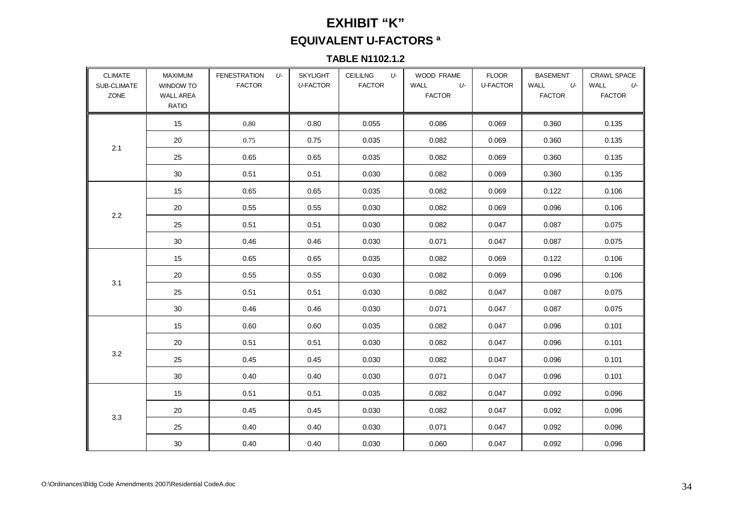# **EXHIBIT "K"EQUIVALENT U-FACTORS ª**

## **TABLE N1102.1.2**

| <b>CLIMATE</b><br>SUB-CLIMATE<br>ZONE | <b>MAXIMUM</b><br><b>WINDOW TO</b><br><b>WALL AREA</b><br><b>RATIO</b> | <b>FENESTRATION</b><br>U-<br><b>FACTOR</b> | <b>SKYLIGHT</b><br><b>U-FACTOR</b> | <b>CEILILNG</b><br>U-<br><b>FACTOR</b> | WOOD FRAME<br>WALL<br>U-<br><b>FACTOR</b> | <b>FLOOR</b><br><b>U-FACTOR</b> | <b>BASEMENT</b><br>WALL<br>U-<br><b>FACTOR</b> | <b>CRAWL SPACE</b><br>WALL<br>U-<br><b>FACTOR</b> |
|---------------------------------------|------------------------------------------------------------------------|--------------------------------------------|------------------------------------|----------------------------------------|-------------------------------------------|---------------------------------|------------------------------------------------|---------------------------------------------------|
|                                       | 15                                                                     | 0.80                                       | 0.80                               | 0.055                                  | 0.086                                     | 0.069                           | 0.360                                          | 0.135                                             |
|                                       | 20                                                                     | 0.75                                       | 0.75                               | 0.035                                  | 0.082                                     | 0.069                           | 0.360                                          | 0.135                                             |
| 2.1                                   | 25                                                                     | 0.65                                       | 0.65                               | 0.035                                  | 0.082                                     | 0.069                           | 0.360                                          | 0.135                                             |
|                                       | 30                                                                     | 0.51                                       | 0.51                               | 0.030                                  | 0.082                                     | 0.069                           | 0.360                                          | 0.135                                             |
|                                       | 15                                                                     | 0.65                                       | 0.65                               | 0.035                                  | 0.082                                     | 0.069                           | 0.122                                          | 0.106                                             |
|                                       | 20                                                                     | 0.55                                       | 0.55                               | 0.030                                  | 0.082                                     | 0.069                           | 0.096                                          | 0.106                                             |
| 2.2                                   | 25                                                                     | 0.51                                       | 0.51                               | 0.030                                  | 0.082                                     | 0.047                           | 0.087                                          | 0.075                                             |
|                                       | 30                                                                     | 0.46                                       | 0.46                               | 0.030                                  | 0.071                                     | 0.047                           | 0.087                                          | 0.075                                             |
|                                       | 15                                                                     | 0.65                                       | 0.65                               | 0.035                                  | 0.082                                     | 0.069                           | 0.122                                          | 0.106                                             |
|                                       | 20                                                                     | 0.55                                       | 0.55                               | 0.030                                  | 0.082                                     | 0.069                           | 0.096                                          | 0.106                                             |
| 3.1                                   | 25                                                                     | 0.51                                       | 0.51                               | 0.030                                  | 0.082                                     | 0.047                           | 0.087                                          | 0.075                                             |
|                                       | 30                                                                     | 0.46                                       | 0.46                               | 0.030                                  | 0.071                                     | 0.047                           | 0.087                                          | 0.075                                             |
|                                       | 15                                                                     | 0.60                                       | 0.60                               | 0.035                                  | 0.082                                     | 0.047                           | 0.096                                          | 0.101                                             |
|                                       | 20                                                                     | 0.51                                       | 0.51                               | 0.030                                  | 0.082                                     | 0.047                           | 0.096                                          | 0.101                                             |
| 3.2                                   | 25                                                                     | 0.45                                       | 0.45                               | 0.030                                  | 0.082                                     | 0.047                           | 0.096                                          | 0.101                                             |
|                                       | 30                                                                     | 0.40                                       | 0.40                               | 0.030                                  | 0.071                                     | 0.047                           | 0.096                                          | 0.101                                             |
|                                       | 15                                                                     | 0.51                                       | 0.51                               | 0.035                                  | 0.082                                     | 0.047                           | 0.092                                          | 0.096                                             |
|                                       | 20                                                                     | 0.45                                       | 0.45                               | 0.030                                  | 0.082                                     | 0.047                           | 0.092                                          | 0.096                                             |
| 3.3                                   | 25                                                                     | 0.40                                       | 0.40                               | 0.030                                  | 0.071                                     | 0.047                           | 0.092                                          | 0.096                                             |
|                                       | 30                                                                     | 0.40                                       | 0.40                               | 0.030                                  | 0.060                                     | 0.047                           | 0.092                                          | 0.096                                             |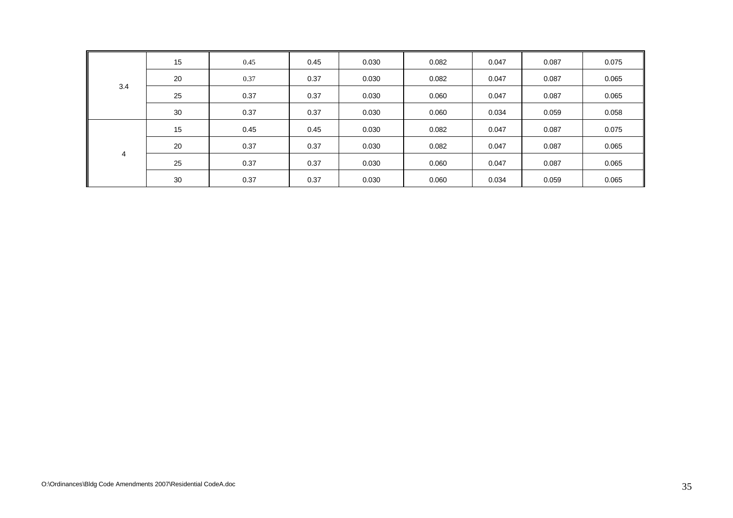| 3.4 | 15 | 0.45 | 0.45 | 0.030 | 0.082 | 0.047 | 0.087 | 0.075 |
|-----|----|------|------|-------|-------|-------|-------|-------|
|     | 20 | 0.37 | 0.37 | 0.030 | 0.082 | 0.047 | 0.087 | 0.065 |
|     | 25 | 0.37 | 0.37 | 0.030 | 0.060 | 0.047 | 0.087 | 0.065 |
|     | 30 | 0.37 | 0.37 | 0.030 | 0.060 | 0.034 | 0.059 | 0.058 |
| 4   | 15 | 0.45 | 0.45 | 0.030 | 0.082 | 0.047 | 0.087 | 0.075 |
|     | 20 | 0.37 | 0.37 | 0.030 | 0.082 | 0.047 | 0.087 | 0.065 |
|     | 25 | 0.37 | 0.37 | 0.030 | 0.060 | 0.047 | 0.087 | 0.065 |
|     | 30 | 0.37 | 0.37 | 0.030 | 0.060 | 0.034 | 0.059 | 0.065 |